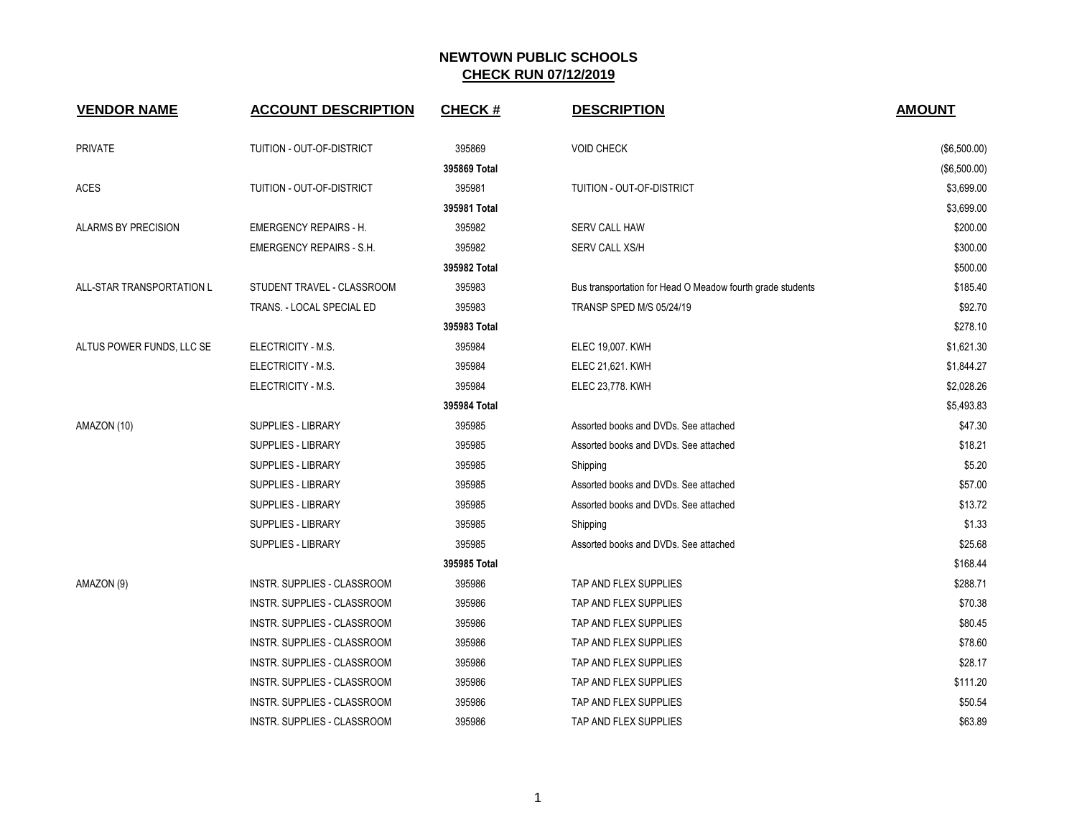| <b>VENDOR NAME</b>         | <b>ACCOUNT DESCRIPTION</b>         | <b>CHECK#</b> | <b>DESCRIPTION</b>                                         | <b>AMOUNT</b> |
|----------------------------|------------------------------------|---------------|------------------------------------------------------------|---------------|
| <b>PRIVATE</b>             | TUITION - OUT-OF-DISTRICT          | 395869        | <b>VOID CHECK</b>                                          | (\$6,500.00)  |
|                            |                                    | 395869 Total  |                                                            | (\$6,500.00)  |
| <b>ACES</b>                | TUITION - OUT-OF-DISTRICT          | 395981        | TUITION - OUT-OF-DISTRICT                                  | \$3,699.00    |
|                            |                                    | 395981 Total  |                                                            | \$3,699.00    |
| <b>ALARMS BY PRECISION</b> | <b>EMERGENCY REPAIRS - H.</b>      | 395982        | <b>SERV CALL HAW</b>                                       | \$200.00      |
|                            | <b>EMERGENCY REPAIRS - S.H.</b>    | 395982        | SERV CALL XS/H                                             | \$300.00      |
|                            |                                    | 395982 Total  |                                                            | \$500.00      |
| ALL-STAR TRANSPORTATION L  | STUDENT TRAVEL - CLASSROOM         | 395983        | Bus transportation for Head O Meadow fourth grade students | \$185.40      |
|                            | TRANS. - LOCAL SPECIAL ED          | 395983        | TRANSP SPED M/S 05/24/19                                   | \$92.70       |
|                            |                                    | 395983 Total  |                                                            | \$278.10      |
| ALTUS POWER FUNDS, LLC SE  | ELECTRICITY - M.S.                 | 395984        | ELEC 19,007. KWH                                           | \$1,621.30    |
|                            | ELECTRICITY - M.S.                 | 395984        | ELEC 21,621. KWH                                           | \$1,844.27    |
|                            | ELECTRICITY - M.S.                 | 395984        | ELEC 23,778. KWH                                           | \$2,028.26    |
|                            |                                    | 395984 Total  |                                                            | \$5,493.83    |
| AMAZON (10)                | SUPPLIES - LIBRARY                 | 395985        | Assorted books and DVDs. See attached                      | \$47.30       |
|                            | <b>SUPPLIES - LIBRARY</b>          | 395985        | Assorted books and DVDs. See attached                      | \$18.21       |
|                            | <b>SUPPLIES - LIBRARY</b>          | 395985        | Shipping                                                   | \$5.20        |
|                            | SUPPLIES - LIBRARY                 | 395985        | Assorted books and DVDs. See attached                      | \$57.00       |
|                            | SUPPLIES - LIBRARY                 | 395985        | Assorted books and DVDs. See attached                      | \$13.72       |
|                            | <b>SUPPLIES - LIBRARY</b>          | 395985        | Shipping                                                   | \$1.33        |
|                            | <b>SUPPLIES - LIBRARY</b>          | 395985        | Assorted books and DVDs. See attached                      | \$25.68       |
|                            |                                    | 395985 Total  |                                                            | \$168.44      |
| AMAZON (9)                 | INSTR. SUPPLIES - CLASSROOM        | 395986        | TAP AND FLEX SUPPLIES                                      | \$288.71      |
|                            | INSTR. SUPPLIES - CLASSROOM        | 395986        | TAP AND FLEX SUPPLIES                                      | \$70.38       |
|                            | INSTR. SUPPLIES - CLASSROOM        | 395986        | TAP AND FLEX SUPPLIES                                      | \$80.45       |
|                            | <b>INSTR. SUPPLIES - CLASSROOM</b> | 395986        | TAP AND FLEX SUPPLIES                                      | \$78.60       |
|                            | INSTR. SUPPLIES - CLASSROOM        | 395986        | TAP AND FLEX SUPPLIES                                      | \$28.17       |
|                            | INSTR. SUPPLIES - CLASSROOM        | 395986        | TAP AND FLEX SUPPLIES                                      | \$111.20      |
|                            | INSTR. SUPPLIES - CLASSROOM        | 395986        | TAP AND FLEX SUPPLIES                                      | \$50.54       |
|                            | INSTR. SUPPLIES - CLASSROOM        | 395986        | TAP AND FLEX SUPPLIES                                      | \$63.89       |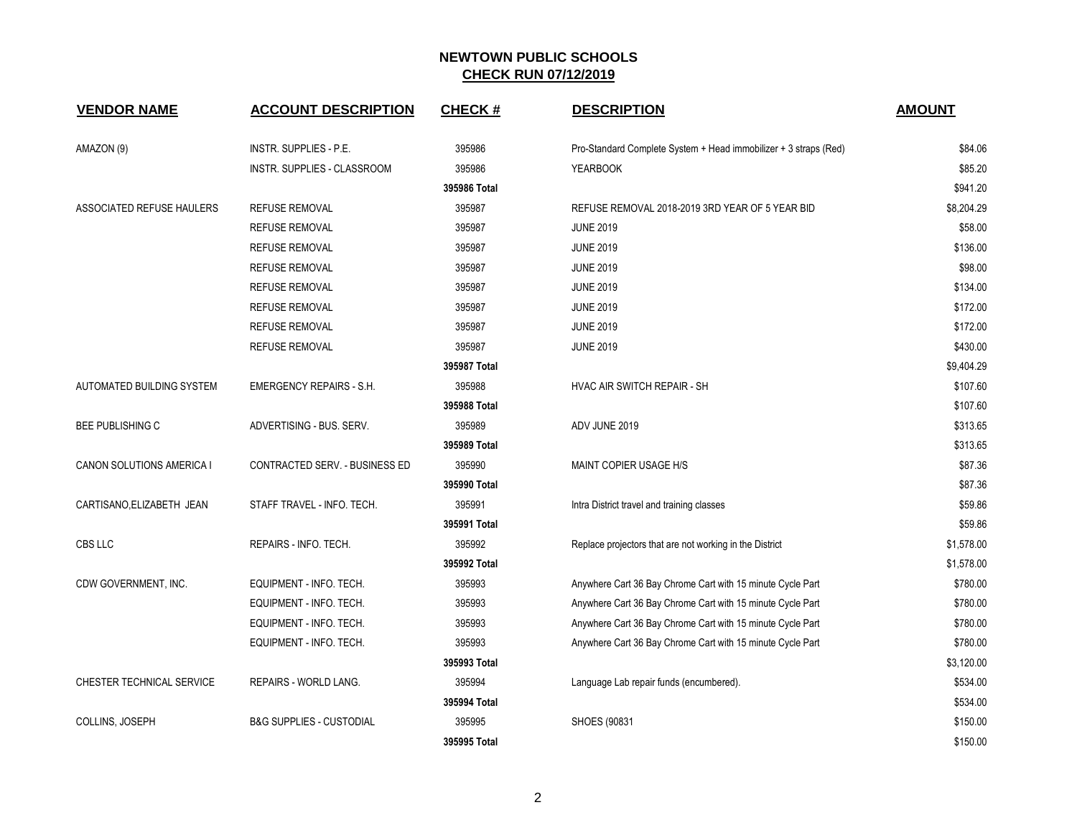| <b>VENDOR NAME</b>        | <b>ACCOUNT DESCRIPTION</b>          | <b>CHECK#</b>  | <b>DESCRIPTION</b>                                               | <b>AMOUNT</b> |
|---------------------------|-------------------------------------|----------------|------------------------------------------------------------------|---------------|
| AMAZON (9)                | INSTR. SUPPLIES - P.E.              | 395986         | Pro-Standard Complete System + Head immobilizer + 3 straps (Red) | \$84.06       |
|                           | <b>INSTR. SUPPLIES - CLASSROOM</b>  | 395986         | <b>YEARBOOK</b>                                                  | \$85.20       |
|                           |                                     | 395986 Total   |                                                                  | \$941.20      |
| ASSOCIATED REFUSE HAULERS | <b>REFUSE REMOVAL</b>               | 395987         | REFUSE REMOVAL 2018-2019 3RD YEAR OF 5 YEAR BID                  | \$8,204.29    |
|                           | <b>REFUSE REMOVAL</b>               | 395987         | <b>JUNE 2019</b>                                                 | \$58.00       |
|                           | <b>REFUSE REMOVAL</b>               | 395987         | <b>JUNE 2019</b>                                                 | \$136.00      |
|                           | <b>REFUSE REMOVAL</b>               | 395987         | <b>JUNE 2019</b>                                                 | \$98.00       |
|                           | <b>REFUSE REMOVAL</b>               | 395987         | <b>JUNE 2019</b>                                                 | \$134.00      |
|                           | <b>REFUSE REMOVAL</b>               | 395987         | <b>JUNE 2019</b>                                                 | \$172.00      |
|                           | <b>REFUSE REMOVAL</b>               | 395987         | <b>JUNE 2019</b>                                                 | \$172.00      |
|                           | <b>REFUSE REMOVAL</b>               | 395987         | <b>JUNE 2019</b>                                                 | \$430.00      |
|                           |                                     | 395987 Total   |                                                                  | \$9,404.29    |
| AUTOMATED BUILDING SYSTEM | <b>EMERGENCY REPAIRS - S.H.</b>     | 395988         | HVAC AIR SWITCH REPAIR - SH                                      | \$107.60      |
|                           |                                     | 395988 Total   |                                                                  | \$107.60      |
| <b>BEE PUBLISHING C</b>   | ADVERTISING - BUS. SERV.            | 395989         | ADV JUNE 2019                                                    | \$313.65      |
|                           |                                     | 395989 Total   |                                                                  | \$313.65      |
| CANON SOLUTIONS AMERICA I | CONTRACTED SERV. - BUSINESS ED      | 395990         | MAINT COPIER USAGE H/S                                           | \$87.36       |
|                           |                                     | 395990 Total   |                                                                  | \$87.36       |
| CARTISANO, ELIZABETH JEAN | STAFF TRAVEL - INFO. TECH.          | 395991         | Intra District travel and training classes                       | \$59.86       |
|                           |                                     | 395991 Total   |                                                                  | \$59.86       |
| CBS LLC                   | REPAIRS - INFO. TECH.               | 395992         | Replace projectors that are not working in the District          | \$1,578.00    |
|                           |                                     | 395992 Total   |                                                                  | \$1,578.00    |
| CDW GOVERNMENT, INC.      | EQUIPMENT - INFO. TECH.             | 395993         | Anywhere Cart 36 Bay Chrome Cart with 15 minute Cycle Part       | \$780.00      |
|                           | EQUIPMENT - INFO. TECH.             | 395993         | Anywhere Cart 36 Bay Chrome Cart with 15 minute Cycle Part       | \$780.00      |
|                           | EQUIPMENT - INFO. TECH.             | 395993         | Anywhere Cart 36 Bay Chrome Cart with 15 minute Cycle Part       | \$780.00      |
|                           | EQUIPMENT - INFO. TECH.             | 395993         | Anywhere Cart 36 Bay Chrome Cart with 15 minute Cycle Part       | \$780.00      |
|                           |                                     | 395993 Total   |                                                                  | \$3,120.00    |
| CHESTER TECHNICAL SERVICE | REPAIRS - WORLD LANG.               | 395994         | Language Lab repair funds (encumbered).                          | \$534.00      |
|                           |                                     | 395994 Total   |                                                                  | \$534.00      |
| COLLINS, JOSEPH           | <b>B&amp;G SUPPLIES - CUSTODIAL</b> | 395995         | SHOES (90831                                                     | \$150.00      |
|                           |                                     | $205005$ Tatal |                                                                  | 015000        |

| INSTR. SUPPLIES - P.E.             | 395986       | Pro-Standard Complete System + Head immobilizer + 3 straps (Red) | \$84.06    |
|------------------------------------|--------------|------------------------------------------------------------------|------------|
| <b>INSTR. SUPPLIES - CLASSROOM</b> | 395986       | <b>YEARBOOK</b>                                                  | \$85.20    |
|                                    | 395986 Total |                                                                  | \$941.20   |
| REFUSE REMOVAL                     | 395987       | REFUSE REMOVAL 2018-2019 3RD YEAR OF 5 YEAR BID                  | \$8,204.29 |
| REFUSE REMOVAL                     | 395987       | <b>JUNE 2019</b>                                                 | \$58.00    |
| REFUSE REMOVAL                     | 395987       | <b>JUNE 2019</b>                                                 | \$136.00   |
| REFUSE REMOVAL                     | 395987       | <b>JUNE 2019</b>                                                 | \$98.00    |
| REFUSE REMOVAL                     | 395987       | <b>JUNE 2019</b>                                                 | \$134.00   |
| REFUSE REMOVAL                     | 395987       | <b>JUNE 2019</b>                                                 | \$172.00   |
| REFUSE REMOVAL                     | 395987       | <b>JUNE 2019</b>                                                 | \$172.00   |
| REFUSE REMOVAL                     | 395987       | <b>JUNE 2019</b>                                                 | \$430.00   |
|                                    | 395987 Total |                                                                  | \$9,404.29 |
| EMERGENCY REPAIRS - S.H.           | 395988       | HVAC AIR SWITCH REPAIR - SH                                      | \$107.60   |
|                                    | 395988 Total |                                                                  | \$107.60   |
| ADVERTISING - BUS. SERV.           | 395989       | ADV JUNE 2019                                                    | \$313.65   |
|                                    | 395989 Total |                                                                  | \$313.65   |
| CONTRACTED SERV. - BUSINESS ED     | 395990       | MAINT COPIER USAGE H/S                                           | \$87.36    |
|                                    | 395990 Total |                                                                  | \$87.36    |
| STAFF TRAVEL - INFO. TECH.         | 395991       | Intra District travel and training classes                       | \$59.86    |
|                                    | 395991 Total |                                                                  | \$59.86    |
| REPAIRS - INFO. TECH.              | 395992       | Replace projectors that are not working in the District          | \$1,578.00 |
|                                    | 395992 Total |                                                                  | \$1,578.00 |
| EQUIPMENT - INFO. TECH.            | 395993       | Anywhere Cart 36 Bay Chrome Cart with 15 minute Cycle Part       | \$780.00   |
| EQUIPMENT - INFO. TECH.            | 395993       | Anywhere Cart 36 Bay Chrome Cart with 15 minute Cycle Part       | \$780.00   |
| EQUIPMENT - INFO. TECH.            | 395993       | Anywhere Cart 36 Bay Chrome Cart with 15 minute Cycle Part       | \$780.00   |
| EQUIPMENT - INFO. TECH.            | 395993       | Anywhere Cart 36 Bay Chrome Cart with 15 minute Cycle Part       | \$780.00   |
|                                    | 395993 Total |                                                                  | \$3,120.00 |
| REPAIRS - WORLD LANG.              | 395994       | Language Lab repair funds (encumbered).                          | \$534.00   |
|                                    | 395994 Total |                                                                  | \$534.00   |
| B&G SUPPLIES - CUSTODIAL           | 395995       | SHOES (90831                                                     | \$150.00   |
|                                    | 395995 Total |                                                                  | \$150.00   |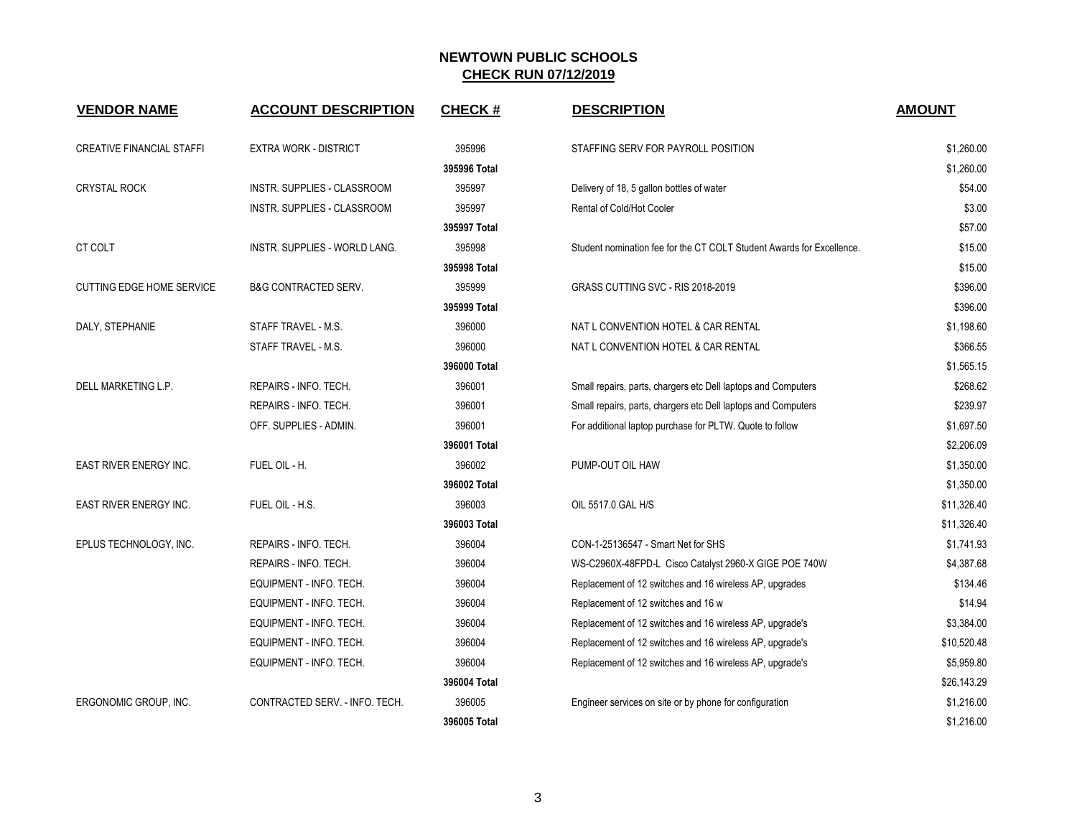| <b>VENDOR NAME</b>               | <b>ACCOUNT DESCRIPTION</b>           | <b>CHECK#</b>  | <b>DESCRIPTION</b>                                                    | <b>AMOUNT</b>    |
|----------------------------------|--------------------------------------|----------------|-----------------------------------------------------------------------|------------------|
| <b>CREATIVE FINANCIAL STAFFI</b> | <b>EXTRA WORK - DISTRICT</b>         | 395996         | STAFFING SERV FOR PAYROLL POSITION                                    | \$1,260.00       |
|                                  |                                      | 395996 Total   |                                                                       | \$1,260.00       |
| <b>CRYSTAL ROCK</b>              | INSTR. SUPPLIES - CLASSROOM          | 395997         | Delivery of 18, 5 gallon bottles of water                             | \$54.00          |
|                                  | INSTR. SUPPLIES - CLASSROOM          | 395997         | Rental of Cold/Hot Cooler                                             | \$3.00           |
|                                  |                                      | 395997 Total   |                                                                       | \$57.00          |
| CT COLT                          | <b>INSTR. SUPPLIES - WORLD LANG.</b> | 395998         | Student nomination fee for the CT COLT Student Awards for Excellence. | \$15.00          |
|                                  |                                      | 395998 Total   |                                                                       | \$15.00          |
| <b>CUTTING EDGE HOME SERVICE</b> | <b>B&amp;G CONTRACTED SERV.</b>      | 395999         | GRASS CUTTING SVC - RIS 2018-2019                                     | \$396.00         |
|                                  |                                      | 395999 Total   |                                                                       | \$396.00         |
| DALY, STEPHANIE                  | STAFF TRAVEL - M.S.                  | 396000         | NAT L CONVENTION HOTEL & CAR RENTAL                                   | \$1.198.60       |
|                                  | STAFF TRAVEL - M.S.                  | 396000         | NAT L CONVENTION HOTEL & CAR RENTAL                                   | \$366.55         |
|                                  |                                      | 396000 Total   |                                                                       | \$1,565.15       |
| DELL MARKETING L.P.              | REPAIRS - INFO. TECH.                | 396001         | Small repairs, parts, chargers etc Dell laptops and Computers         | \$268.62         |
|                                  | REPAIRS - INFO. TECH.                | 396001         | Small repairs, parts, chargers etc Dell laptops and Computers         | \$239.97         |
|                                  | OFF. SUPPLIES - ADMIN.               | 396001         | For additional laptop purchase for PLTW. Quote to follow              | \$1,697.50       |
|                                  |                                      | 396001 Total   |                                                                       | \$2,206.09       |
| EAST RIVER ENERGY INC.           | FUEL OIL - H.                        | 396002         | PUMP-OUT OIL HAW                                                      | \$1,350.00       |
|                                  |                                      | 396002 Total   |                                                                       | \$1,350.00       |
| <b>EAST RIVER ENERGY INC.</b>    | FUEL OIL - H.S.                      | 396003         | OIL 5517.0 GAL H/S                                                    | \$11,326.40      |
|                                  |                                      | 396003 Total   |                                                                       | \$11,326.40      |
| EPLUS TECHNOLOGY, INC.           | REPAIRS - INFO. TECH.                | 396004         | CON-1-25136547 - Smart Net for SHS                                    | \$1,741.93       |
|                                  | REPAIRS - INFO. TECH.                | 396004         | WS-C2960X-48FPD-L Cisco Catalyst 2960-X GIGE POE 740W                 | \$4,387.68       |
|                                  | EQUIPMENT - INFO. TECH.              | 396004         | Replacement of 12 switches and 16 wireless AP, upgrades               | \$134.46         |
|                                  | EQUIPMENT - INFO. TECH.              | 396004         | Replacement of 12 switches and 16 w                                   | \$14.94          |
|                                  | EQUIPMENT - INFO. TECH.              | 396004         | Replacement of 12 switches and 16 wireless AP, upgrade's              | \$3,384.00       |
|                                  | EQUIPMENT - INFO. TECH.              | 396004         | Replacement of 12 switches and 16 wireless AP, upgrade's              | \$10,520.48      |
|                                  | EQUIPMENT - INFO. TECH.              | 396004         | Replacement of 12 switches and 16 wireless AP, upgrade's              | \$5,959.80       |
|                                  |                                      | 396004 Total   |                                                                       | \$26,143.29      |
| ERGONOMIC GROUP, INC.            | CONTRACTED SERV. - INFO. TECH.       | 396005         | Engineer services on site or by phone for configuration               | \$1,216.00       |
|                                  |                                      | $206005$ Total |                                                                       | <b>¢1 216 00</b> |

| EXTRA WORK - DISTRICT          | 395996       | STAFFING SERV FOR PAYROLL POSITION                                    | \$1,260.00  |
|--------------------------------|--------------|-----------------------------------------------------------------------|-------------|
|                                | 395996 Total |                                                                       | \$1,260.00  |
| INSTR. SUPPLIES - CLASSROOM    | 395997       | Delivery of 18, 5 gallon bottles of water                             | \$54.00     |
| INSTR. SUPPLIES - CLASSROOM    | 395997       | Rental of Cold/Hot Cooler                                             | \$3.00      |
|                                | 395997 Total |                                                                       | \$57.00     |
| INSTR. SUPPLIES - WORLD LANG.  | 395998       | Student nomination fee for the CT COLT Student Awards for Excellence. | \$15.00     |
|                                | 395998 Total |                                                                       | \$15.00     |
| B&G CONTRACTED SERV.           | 395999       | GRASS CUTTING SVC - RIS 2018-2019                                     | \$396.00    |
|                                | 395999 Total |                                                                       | \$396.00    |
| STAFF TRAVEL - M.S.            | 396000       | NAT L CONVENTION HOTEL & CAR RENTAL                                   | \$1,198.60  |
| STAFF TRAVEL - M.S.            | 396000       | NAT L CONVENTION HOTEL & CAR RENTAL                                   | \$366.55    |
|                                | 396000 Total |                                                                       | \$1,565.15  |
| REPAIRS - INFO. TECH.          | 396001       | Small repairs, parts, chargers etc Dell laptops and Computers         | \$268.62    |
| REPAIRS - INFO. TECH.          | 396001       | Small repairs, parts, chargers etc Dell laptops and Computers         | \$239.97    |
| OFF. SUPPLIES - ADMIN.         | 396001       | For additional laptop purchase for PLTW. Quote to follow              | \$1,697.50  |
|                                | 396001 Total |                                                                       | \$2,206.09  |
| FUEL OIL - H.                  | 396002       | PUMP-OUT OIL HAW                                                      | \$1,350.00  |
|                                | 396002 Total |                                                                       | \$1,350.00  |
| fuel oil - H.S.                | 396003       | OIL 5517.0 GAL H/S                                                    | \$11,326.40 |
|                                | 396003 Total |                                                                       | \$11,326.40 |
| REPAIRS - INFO. TECH.          | 396004       | CON-1-25136547 - Smart Net for SHS                                    | \$1,741.93  |
| REPAIRS - INFO. TECH.          | 396004       | WS-C2960X-48FPD-L Cisco Catalyst 2960-X GIGE POE 740W                 | \$4,387.68  |
| EQUIPMENT - INFO. TECH.        | 396004       | Replacement of 12 switches and 16 wireless AP, upgrades               | \$134.46    |
| EQUIPMENT - INFO. TECH.        | 396004       | Replacement of 12 switches and 16 w                                   | \$14.94     |
| EQUIPMENT - INFO. TECH.        | 396004       | Replacement of 12 switches and 16 wireless AP, upgrade's              | \$3,384.00  |
| EQUIPMENT - INFO. TECH.        | 396004       | Replacement of 12 switches and 16 wireless AP, upgrade's              | \$10,520.48 |
| EQUIPMENT - INFO. TECH.        | 396004       | Replacement of 12 switches and 16 wireless AP, upgrade's              | \$5,959.80  |
|                                | 396004 Total |                                                                       | \$26,143.29 |
| CONTRACTED SERV. - INFO. TECH. | 396005       | Engineer services on site or by phone for configuration               | \$1,216.00  |
|                                | 396005 Total |                                                                       | \$1,216.00  |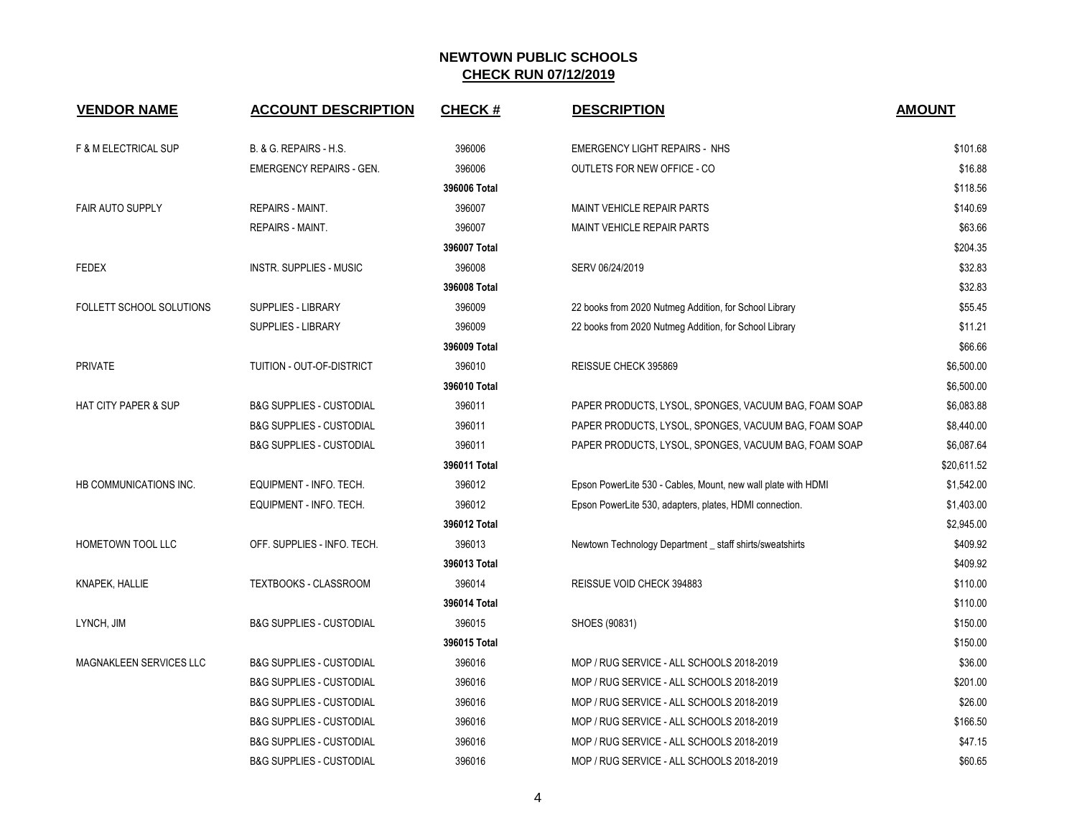| <b>VENDOR NAME</b>              | <b>ACCOUNT DESCRIPTION</b>          | <b>CHECK#</b> | <b>DESCRIPTION</b>                                            | <b>AMOUNT</b> |
|---------------------------------|-------------------------------------|---------------|---------------------------------------------------------------|---------------|
| F & M ELECTRICAL SUP            | B. & G. REPAIRS - H.S.              | 396006        | <b>EMERGENCY LIGHT REPAIRS - NHS</b>                          | \$101.68      |
|                                 | <b>EMERGENCY REPAIRS - GEN.</b>     | 396006        | OUTLETS FOR NEW OFFICE - CO                                   | \$16.88       |
|                                 |                                     | 396006 Total  |                                                               | \$118.56      |
| FAIR AUTO SUPPLY                | <b>REPAIRS - MAINT.</b>             | 396007        | MAINT VEHICLE REPAIR PARTS                                    | \$140.69      |
|                                 | <b>REPAIRS - MAINT.</b>             | 396007        | MAINT VEHICLE REPAIR PARTS                                    | \$63.66       |
|                                 |                                     | 396007 Total  |                                                               | \$204.35      |
| <b>FEDEX</b>                    | <b>INSTR. SUPPLIES - MUSIC</b>      | 396008        | SERV 06/24/2019                                               | \$32.83       |
|                                 |                                     | 396008 Total  |                                                               | \$32.83       |
| FOLLETT SCHOOL SOLUTIONS        | SUPPLIES - LIBRARY                  | 396009        | 22 books from 2020 Nutmeg Addition, for School Library        | \$55.45       |
|                                 | SUPPLIES - LIBRARY                  | 396009        | 22 books from 2020 Nutmeg Addition, for School Library        | \$11.21       |
|                                 |                                     | 396009 Total  |                                                               | \$66.66       |
| <b>PRIVATE</b>                  | TUITION - OUT-OF-DISTRICT           | 396010        | REISSUE CHECK 395869                                          | \$6,500.00    |
|                                 |                                     | 396010 Total  |                                                               | \$6,500.00    |
| <b>HAT CITY PAPER &amp; SUP</b> | <b>B&amp;G SUPPLIES - CUSTODIAL</b> | 396011        | PAPER PRODUCTS, LYSOL, SPONGES, VACUUM BAG, FOAM SOAP         | \$6,083.88    |
|                                 | <b>B&amp;G SUPPLIES - CUSTODIAL</b> | 396011        | PAPER PRODUCTS, LYSOL, SPONGES, VACUUM BAG, FOAM SOAP         | \$8,440.00    |
|                                 | <b>B&amp;G SUPPLIES - CUSTODIAL</b> | 396011        | PAPER PRODUCTS, LYSOL, SPONGES, VACUUM BAG, FOAM SOAP         | \$6,087.64    |
|                                 |                                     | 396011 Total  |                                                               | \$20,611.52   |
| HB COMMUNICATIONS INC.          | EQUIPMENT - INFO. TECH.             | 396012        | Epson PowerLite 530 - Cables, Mount, new wall plate with HDMI | \$1,542.00    |
|                                 | EQUIPMENT - INFO. TECH.             | 396012        | Epson PowerLite 530, adapters, plates, HDMI connection.       | \$1,403.00    |
|                                 |                                     | 396012 Total  |                                                               | \$2,945.00    |
| HOMETOWN TOOL LLC               | OFF. SUPPLIES - INFO. TECH.         | 396013        | Newtown Technology Department _ staff shirts/sweatshirts      | \$409.92      |
|                                 |                                     | 396013 Total  |                                                               | \$409.92      |
| KNAPEK, HALLIE                  | TEXTBOOKS - CLASSROOM               | 396014        | REISSUE VOID CHECK 394883                                     | \$110.00      |
|                                 |                                     | 396014 Total  |                                                               | \$110.00      |
| LYNCH, JIM                      | <b>B&amp;G SUPPLIES - CUSTODIAL</b> | 396015        | SHOES (90831)                                                 | \$150.00      |
|                                 |                                     | 396015 Total  |                                                               | \$150.00      |
| MAGNAKLEEN SERVICES LLC         | <b>B&amp;G SUPPLIES - CUSTODIAL</b> | 396016        | MOP / RUG SERVICE - ALL SCHOOLS 2018-2019                     | \$36.00       |
|                                 | <b>B&amp;G SUPPLIES - CUSTODIAL</b> | 396016        | MOP / RUG SERVICE - ALL SCHOOLS 2018-2019                     | \$201.00      |
|                                 | <b>B&amp;G SUPPLIES - CUSTODIAL</b> | 396016        | MOP / RUG SERVICE - ALL SCHOOLS 2018-2019                     | \$26.00       |
|                                 | <b>B&amp;G SUPPLIES - CUSTODIAL</b> | 396016        | MOP / RUG SERVICE - ALL SCHOOLS 2018-2019                     | \$166.50      |
|                                 | <b>B&amp;G SUPPLIES - CUSTODIAL</b> | 396016        | MOP / RUG SERVICE - ALL SCHOOLS 2018-2019                     | \$47.15       |
|                                 | R&G SHPPHES - CHSTODIAL             | 396016        | MOP / RHC SERVICE - ALL SCHOOLS 2018-2019                     | <b>S60.65</b> |

| <b>ACCOUNT DESCRIPTION</b>          | <u>CHECK #</u> | <b>DESCRIPTION</b>                                            | <b>AMOUNT</b> |
|-------------------------------------|----------------|---------------------------------------------------------------|---------------|
| B. & G. REPAIRS - H.S.              | 396006         | <b>EMERGENCY LIGHT REPAIRS - NHS</b>                          | \$101.68      |
| <b>EMERGENCY REPAIRS - GEN.</b>     | 396006         | OUTLETS FOR NEW OFFICE - CO                                   | \$16.88       |
|                                     | 396006 Total   |                                                               | \$118.56      |
| REPAIRS - MAINT.                    | 396007         | <b>MAINT VEHICLE REPAIR PARTS</b>                             | \$140.69      |
| <b>REPAIRS - MAINT.</b>             | 396007         | <b>MAINT VEHICLE REPAIR PARTS</b>                             | \$63.66       |
|                                     | 396007 Total   |                                                               | \$204.35      |
| <b>INSTR. SUPPLIES - MUSIC</b>      | 396008         | SERV 06/24/2019                                               | \$32.83       |
|                                     | 396008 Total   |                                                               | \$32.83       |
| SUPPLIES - LIBRARY                  | 396009         | 22 books from 2020 Nutmeg Addition, for School Library        | \$55.45       |
| SUPPLIES - LIBRARY                  | 396009         | 22 books from 2020 Nutmeg Addition, for School Library        | \$11.21       |
|                                     | 396009 Total   |                                                               | \$66.66       |
| TUITION - OUT-OF-DISTRICT           | 396010         | REISSUE CHECK 395869                                          | \$6,500.00    |
|                                     | 396010 Total   |                                                               | \$6,500.00    |
| <b>B&amp;G SUPPLIES - CUSTODIAL</b> | 396011         | PAPER PRODUCTS, LYSOL, SPONGES, VACUUM BAG, FOAM SOAP         | \$6,083.88    |
| <b>B&amp;G SUPPLIES - CUSTODIAL</b> | 396011         | PAPER PRODUCTS, LYSOL, SPONGES, VACUUM BAG, FOAM SOAP         | \$8,440.00    |
| <b>B&amp;G SUPPLIES - CUSTODIAL</b> | 396011         | PAPER PRODUCTS, LYSOL, SPONGES, VACUUM BAG, FOAM SOAP         | \$6,087.64    |
|                                     | 396011 Total   |                                                               | \$20,611.52   |
| EQUIPMENT - INFO. TECH.             | 396012         | Epson PowerLite 530 - Cables, Mount, new wall plate with HDMI | \$1,542.00    |
| EQUIPMENT - INFO. TECH.             | 396012         | Epson PowerLite 530, adapters, plates, HDMI connection.       | \$1,403.00    |
|                                     | 396012 Total   |                                                               | \$2,945.00    |
| OFF. SUPPLIES - INFO. TECH.         | 396013         | Newtown Technology Department _ staff shirts/sweatshirts      | \$409.92      |
|                                     | 396013 Total   |                                                               | \$409.92      |
| TEXTBOOKS - CLASSROOM               | 396014         | REISSUE VOID CHECK 394883                                     | \$110.00      |
|                                     | 396014 Total   |                                                               | \$110.00      |
| <b>B&amp;G SUPPLIES - CUSTODIAL</b> | 396015         | SHOES (90831)                                                 | \$150.00      |
|                                     | 396015 Total   |                                                               | \$150.00      |
| <b>B&amp;G SUPPLIES - CUSTODIAL</b> | 396016         | MOP / RUG SERVICE - ALL SCHOOLS 2018-2019                     | \$36.00       |
| <b>B&amp;G SUPPLIES - CUSTODIAL</b> | 396016         | MOP / RUG SERVICE - ALL SCHOOLS 2018-2019                     | \$201.00      |
| <b>B&amp;G SUPPLIES - CUSTODIAL</b> | 396016         | MOP / RUG SERVICE - ALL SCHOOLS 2018-2019                     | \$26.00       |
| <b>B&amp;G SUPPLIES - CUSTODIAL</b> | 396016         | MOP / RUG SERVICE - ALL SCHOOLS 2018-2019                     | \$166.50      |
| <b>B&amp;G SUPPLIES - CUSTODIAL</b> | 396016         | MOP / RUG SERVICE - ALL SCHOOLS 2018-2019                     | \$47.15       |
| <b>B&amp;G SUPPLIES - CUSTODIAL</b> | 396016         | MOP / RUG SERVICE - ALL SCHOOLS 2018-2019                     | \$60.65       |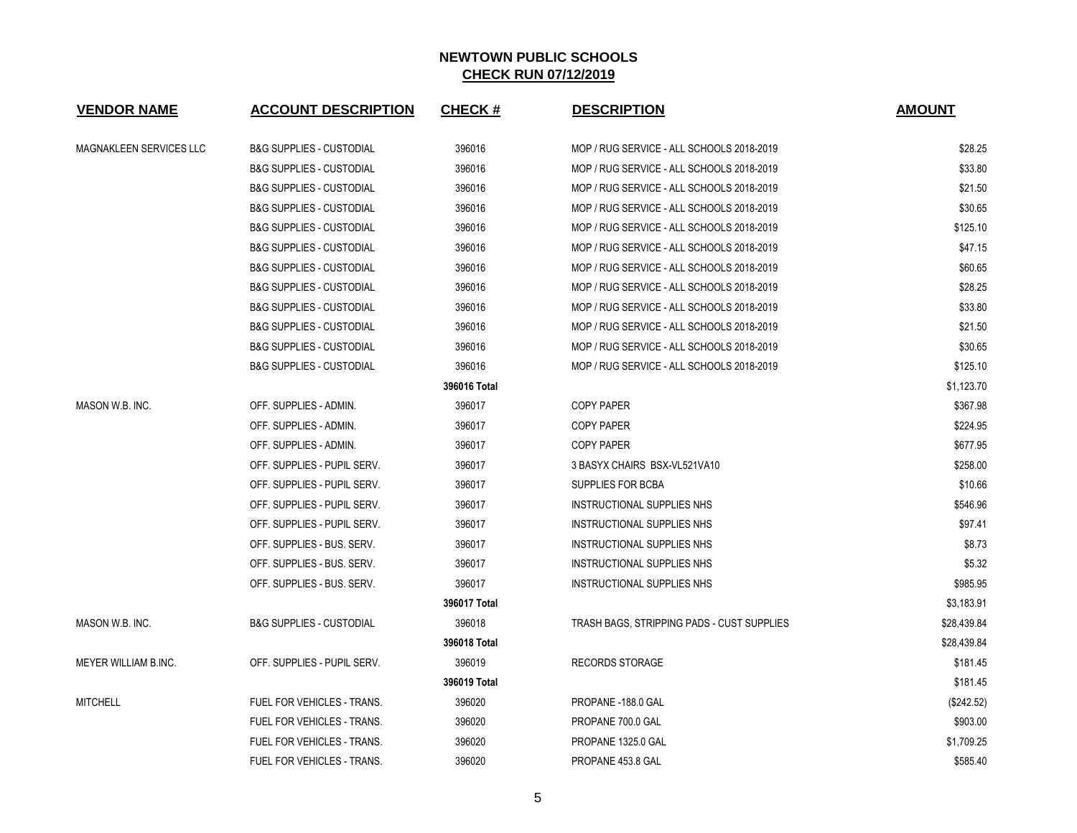| <b>VENDOR NAME</b>          | <b>ACCOUNT DESCRIPTION</b>          | <b>CHECK#</b> | <b>DESCRIPTION</b>                         | <b>AMOUNT</b> |
|-----------------------------|-------------------------------------|---------------|--------------------------------------------|---------------|
| MAGNAKLEEN SERVICES LLC     | <b>B&amp;G SUPPLIES - CUSTODIAL</b> | 396016        | MOP / RUG SERVICE - ALL SCHOOLS 2018-2019  | \$28.25       |
|                             | <b>B&amp;G SUPPLIES - CUSTODIAL</b> | 396016        | MOP / RUG SERVICE - ALL SCHOOLS 2018-2019  | \$33.80       |
|                             | <b>B&amp;G SUPPLIES - CUSTODIAL</b> | 396016        | MOP / RUG SERVICE - ALL SCHOOLS 2018-2019  | \$21.50       |
|                             | <b>B&amp;G SUPPLIES - CUSTODIAL</b> | 396016        | MOP / RUG SERVICE - ALL SCHOOLS 2018-2019  | \$30.65       |
|                             | <b>B&amp;G SUPPLIES - CUSTODIAL</b> | 396016        | MOP / RUG SERVICE - ALL SCHOOLS 2018-2019  | \$125.10      |
|                             | <b>B&amp;G SUPPLIES - CUSTODIAL</b> | 396016        | MOP / RUG SERVICE - ALL SCHOOLS 2018-2019  | \$47.15       |
|                             | <b>B&amp;G SUPPLIES - CUSTODIAL</b> | 396016        | MOP / RUG SERVICE - ALL SCHOOLS 2018-2019  | \$60.65       |
|                             | <b>B&amp;G SUPPLIES - CUSTODIAL</b> | 396016        | MOP / RUG SERVICE - ALL SCHOOLS 2018-2019  | \$28.25       |
|                             | <b>B&amp;G SUPPLIES - CUSTODIAL</b> | 396016        | MOP / RUG SERVICE - ALL SCHOOLS 2018-2019  | \$33.80       |
|                             | <b>B&amp;G SUPPLIES - CUSTODIAL</b> | 396016        | MOP / RUG SERVICE - ALL SCHOOLS 2018-2019  | \$21.50       |
|                             | <b>B&amp;G SUPPLIES - CUSTODIAL</b> | 396016        | MOP / RUG SERVICE - ALL SCHOOLS 2018-2019  | \$30.65       |
|                             | <b>B&amp;G SUPPLIES - CUSTODIAL</b> | 396016        | MOP / RUG SERVICE - ALL SCHOOLS 2018-2019  | \$125.10      |
|                             |                                     | 396016 Total  |                                            | \$1,123.70    |
| MASON W.B. INC.             | OFF. SUPPLIES - ADMIN.              | 396017        | <b>COPY PAPER</b>                          | \$367.98      |
|                             | OFF. SUPPLIES - ADMIN.              | 396017        | <b>COPY PAPER</b>                          | \$224.95      |
|                             | OFF. SUPPLIES - ADMIN.              | 396017        | <b>COPY PAPER</b>                          | \$677.95      |
|                             | OFF. SUPPLIES - PUPIL SERV.         | 396017        | 3 BASYX CHAIRS BSX-VL521VA10               | \$258.00      |
|                             | OFF. SUPPLIES - PUPIL SERV.         | 396017        | SUPPLIES FOR BCBA                          | \$10.66       |
|                             | OFF. SUPPLIES - PUPIL SERV.         | 396017        | INSTRUCTIONAL SUPPLIES NHS                 | \$546.96      |
|                             | OFF. SUPPLIES - PUPIL SERV.         | 396017        | INSTRUCTIONAL SUPPLIES NHS                 | \$97.41       |
|                             | OFF. SUPPLIES - BUS. SERV.          | 396017        | INSTRUCTIONAL SUPPLIES NHS                 | \$8.73        |
|                             | OFF. SUPPLIES - BUS. SERV.          | 396017        | INSTRUCTIONAL SUPPLIES NHS                 | \$5.32        |
|                             | OFF. SUPPLIES - BUS. SERV.          | 396017        | <b>INSTRUCTIONAL SUPPLIES NHS</b>          | \$985.95      |
|                             |                                     | 396017 Total  |                                            | \$3,183.91    |
| MASON W.B. INC.             | <b>B&amp;G SUPPLIES - CUSTODIAL</b> | 396018        | TRASH BAGS, STRIPPING PADS - CUST SUPPLIES | \$28,439.84   |
|                             |                                     | 396018 Total  |                                            | \$28,439.84   |
| <b>MEYER WILLIAM B.INC.</b> | OFF. SUPPLIES - PUPIL SERV.         | 396019        | <b>RECORDS STORAGE</b>                     | \$181.45      |
|                             |                                     | 396019 Total  |                                            | \$181.45      |
| <b>MITCHELL</b>             | <b>FUEL FOR VEHICLES - TRANS.</b>   | 396020        | PROPANE -188.0 GAL                         | (\$242.52)    |
|                             | FUEL FOR VEHICLES - TRANS.          | 396020        | PROPANE 700.0 GAL                          | \$903.00      |
|                             | FUEL FOR VEHICLES - TRANS.          | 396020        | PROPANE 1325.0 GAL                         | \$1,709.25    |
|                             | <b>FUEL FOR VEHICLES - TRANS.</b>   | 396020        | PROPANE 453.8 GAL                          | \$585.40      |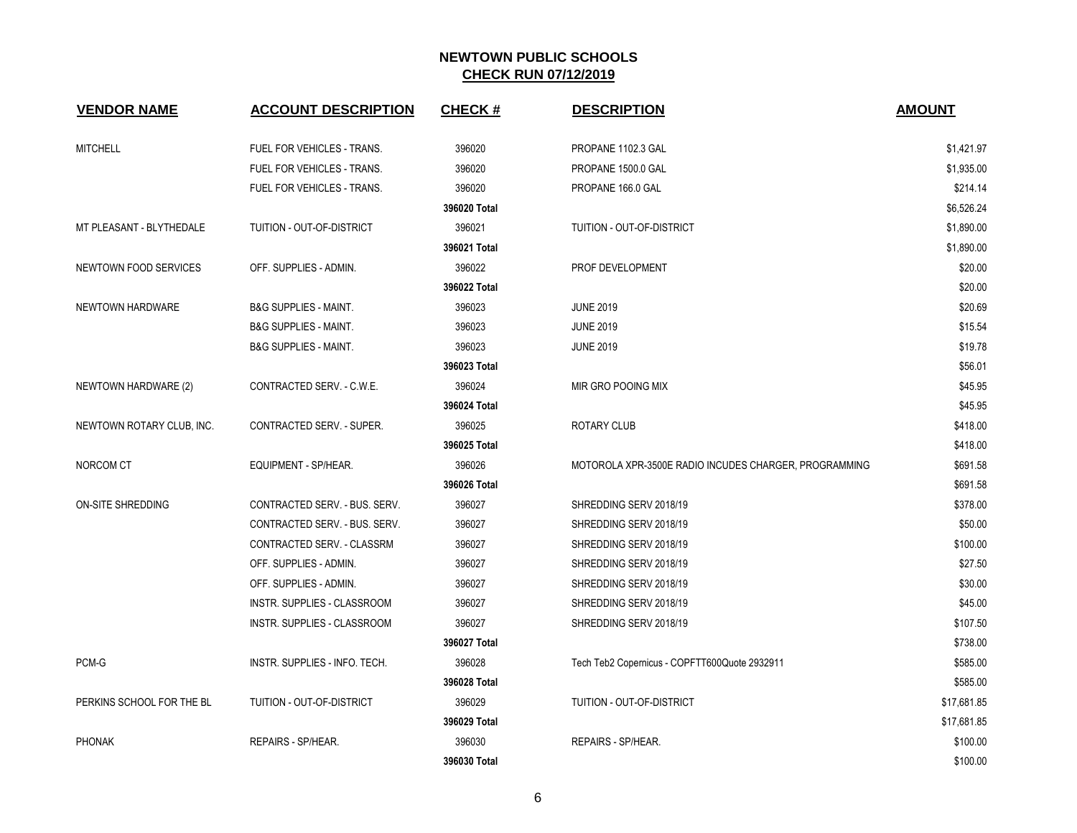| <b>VENDOR NAME</b>        | <b>ACCOUNT DESCRIPTION</b>       | <b>CHECK#</b> | <b>DESCRIPTION</b>                                    | <b>AMOUNT</b> |
|---------------------------|----------------------------------|---------------|-------------------------------------------------------|---------------|
| <b>MITCHELL</b>           | FUEL FOR VEHICLES - TRANS.       | 396020        | PROPANE 1102.3 GAL                                    | \$1,421.97    |
|                           | FUEL FOR VEHICLES - TRANS.       | 396020        | PROPANE 1500.0 GAL                                    | \$1,935.00    |
|                           | FUEL FOR VEHICLES - TRANS.       | 396020        | PROPANE 166.0 GAL                                     | \$214.14      |
|                           |                                  | 396020 Total  |                                                       | \$6,526.24    |
| MT PLEASANT - BLYTHEDALE  | TUITION - OUT-OF-DISTRICT        | 396021        | TUITION - OUT-OF-DISTRICT                             | \$1,890.00    |
|                           |                                  | 396021 Total  |                                                       | \$1,890.00    |
| NEWTOWN FOOD SERVICES     | OFF. SUPPLIES - ADMIN.           | 396022        | PROF DEVELOPMENT                                      | \$20.00       |
|                           |                                  | 396022 Total  |                                                       | \$20.00       |
| NEWTOWN HARDWARE          | <b>B&amp;G SUPPLIES - MAINT.</b> | 396023        | <b>JUNE 2019</b>                                      | \$20.69       |
|                           | <b>B&amp;G SUPPLIES - MAINT.</b> | 396023        | <b>JUNE 2019</b>                                      | \$15.54       |
|                           | <b>B&amp;G SUPPLIES - MAINT.</b> | 396023        | <b>JUNE 2019</b>                                      | \$19.78       |
|                           |                                  | 396023 Total  |                                                       | \$56.01       |
| NEWTOWN HARDWARE (2)      | CONTRACTED SERV. - C.W.E.        | 396024        | MIR GRO POOING MIX                                    | \$45.95       |
|                           |                                  | 396024 Total  |                                                       | \$45.95       |
| NEWTOWN ROTARY CLUB, INC. | <b>CONTRACTED SERV. - SUPER.</b> | 396025        | <b>ROTARY CLUB</b>                                    | \$418.00      |
|                           |                                  | 396025 Total  |                                                       | \$418.00      |
| NORCOM CT                 | EQUIPMENT - SP/HEAR.             | 396026        | MOTOROLA XPR-3500E RADIO INCUDES CHARGER, PROGRAMMING | \$691.58      |
|                           |                                  | 396026 Total  |                                                       | \$691.58      |
| ON-SITE SHREDDING         | CONTRACTED SERV. - BUS. SERV.    | 396027        | SHREDDING SERV 2018/19                                | \$378.00      |
|                           | CONTRACTED SERV. - BUS. SERV.    | 396027        | SHREDDING SERV 2018/19                                | \$50.00       |
|                           | CONTRACTED SERV. - CLASSRM       | 396027        | SHREDDING SERV 2018/19                                | \$100.00      |
|                           | OFF. SUPPLIES - ADMIN.           | 396027        | SHREDDING SERV 2018/19                                | \$27.50       |
|                           | OFF. SUPPLIES - ADMIN.           | 396027        | SHREDDING SERV 2018/19                                | \$30.00       |
|                           | INSTR. SUPPLIES - CLASSROOM      | 396027        | SHREDDING SERV 2018/19                                | \$45.00       |
|                           | INSTR. SUPPLIES - CLASSROOM      | 396027        | SHREDDING SERV 2018/19                                | \$107.50      |
|                           |                                  | 396027 Total  |                                                       | \$738.00      |
| PCM-G                     | INSTR. SUPPLIES - INFO. TECH.    | 396028        | Tech Teb2 Copernicus - COPFTT600Quote 2932911         | \$585.00      |
|                           |                                  | 396028 Total  |                                                       | \$585.00      |
| PERKINS SCHOOL FOR THE BL | TUITION - OUT-OF-DISTRICT        | 396029        | <b>TUITION - OUT-OF-DISTRICT</b>                      | \$17,681.85   |
|                           |                                  | 396029 Total  |                                                       | \$17,681.85   |
| <b>PHONAK</b>             | REPAIRS - SP/HEAR.               | 396030        | REPAIRS - SP/HEAR.                                    | \$100.00      |
|                           |                                  | 396030 Total  |                                                       | \$100.00      |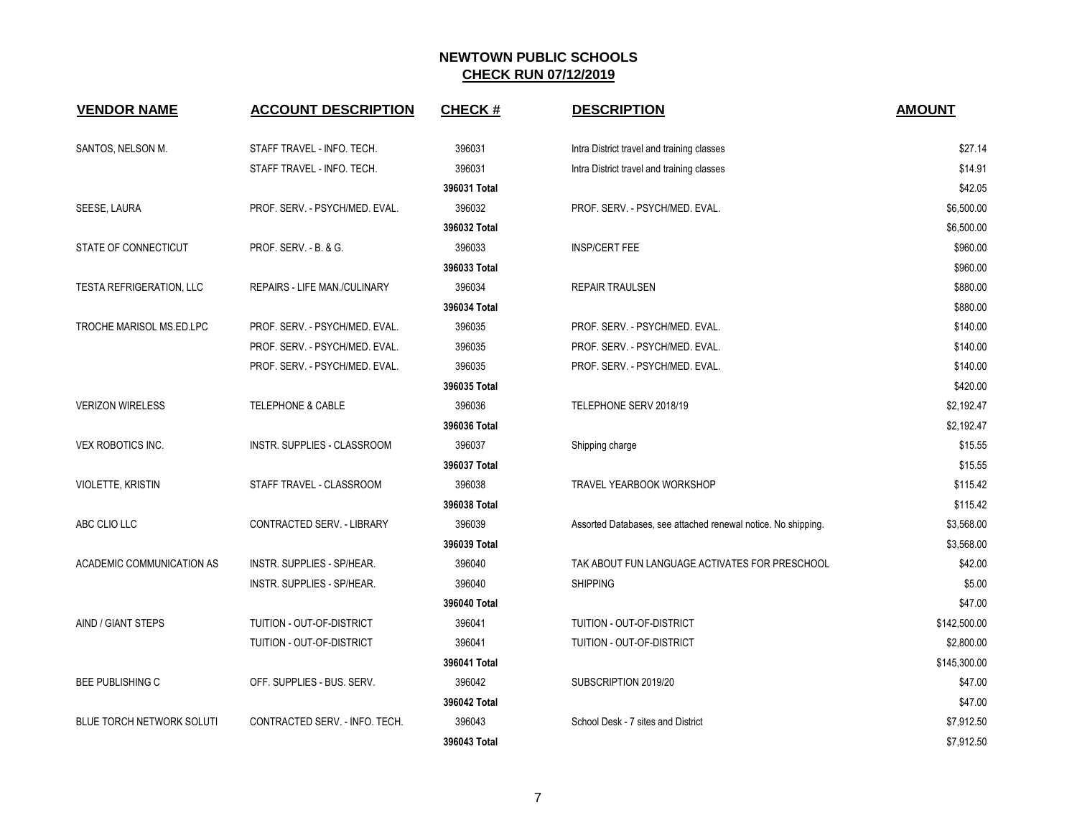| <b>VENDOR NAME</b>              | <b>ACCOUNT DESCRIPTION</b>     | <b>CHECK#</b> | <b>DESCRIPTION</b>                                            | <b>AMOUNT</b> |
|---------------------------------|--------------------------------|---------------|---------------------------------------------------------------|---------------|
| SANTOS, NELSON M.               | STAFF TRAVEL - INFO. TECH.     | 396031        | Intra District travel and training classes                    | \$27.14       |
|                                 | STAFF TRAVEL - INFO. TECH.     | 396031        | Intra District travel and training classes                    | \$14.91       |
|                                 |                                | 396031 Total  |                                                               | \$42.05       |
| SEESE, LAURA                    | PROF. SERV. - PSYCH/MED. EVAL. | 396032        | PROF. SERV. - PSYCH/MED. EVAL.                                | \$6,500.00    |
|                                 |                                | 396032 Total  |                                                               | \$6,500.00    |
| STATE OF CONNECTICUT            | PROF. SERV. - B. & G.          | 396033        | <b>INSP/CERT FEE</b>                                          | \$960.00      |
|                                 |                                | 396033 Total  |                                                               | \$960.00      |
| <b>TESTA REFRIGERATION, LLC</b> | REPAIRS - LIFE MAN./CULINARY   | 396034        | REPAIR TRAULSEN                                               | \$880.00      |
|                                 |                                | 396034 Total  |                                                               | \$880.00      |
| TROCHE MARISOL MS.ED.LPC        | PROF. SERV. - PSYCH/MED. EVAL. | 396035        | PROF. SERV. - PSYCH/MED. EVAL.                                | \$140.00      |
|                                 | PROF. SERV. - PSYCH/MED. EVAL. | 396035        | PROF. SERV. - PSYCH/MED. EVAL.                                | \$140.00      |
|                                 | PROF. SERV. - PSYCH/MED. EVAL. | 396035        | PROF. SERV. - PSYCH/MED. EVAL.                                | \$140.00      |
|                                 |                                | 396035 Total  |                                                               | \$420.00      |
| <b>VERIZON WIRELESS</b>         | <b>TELEPHONE &amp; CABLE</b>   | 396036        | TELEPHONE SERV 2018/19                                        | \$2,192.47    |
|                                 |                                | 396036 Total  |                                                               | \$2,192.47    |
| <b>VEX ROBOTICS INC.</b>        | INSTR. SUPPLIES - CLASSROOM    | 396037        | Shipping charge                                               | \$15.55       |
|                                 |                                | 396037 Total  |                                                               | \$15.55       |
| VIOLETTE, KRISTIN               | STAFF TRAVEL - CLASSROOM       | 396038        | <b>TRAVEL YEARBOOK WORKSHOP</b>                               | \$115.42      |
|                                 |                                | 396038 Total  |                                                               | \$115.42      |
| ABC CLIO LLC                    | CONTRACTED SERV. - LIBRARY     | 396039        | Assorted Databases, see attached renewal notice. No shipping. | \$3,568.00    |
|                                 |                                | 396039 Total  |                                                               | \$3,568.00    |
| ACADEMIC COMMUNICATION AS       | INSTR. SUPPLIES - SP/HEAR.     | 396040        | TAK ABOUT FUN LANGUAGE ACTIVATES FOR PRESCHOOL                | \$42.00       |
|                                 | INSTR. SUPPLIES - SP/HEAR.     | 396040        | <b>SHIPPING</b>                                               | \$5.00        |
|                                 |                                | 396040 Total  |                                                               | \$47.00       |
| AIND / GIANT STEPS              | TUITION - OUT-OF-DISTRICT      | 396041        | TUITION - OUT-OF-DISTRICT                                     | \$142,500.00  |
|                                 | TUITION - OUT-OF-DISTRICT      | 396041        | TUITION - OUT-OF-DISTRICT                                     | \$2,800.00    |
|                                 |                                | 396041 Total  |                                                               | \$145,300.00  |
| <b>BEE PUBLISHING C</b>         | OFF. SUPPLIES - BUS. SERV.     | 396042        | SUBSCRIPTION 2019/20                                          | \$47.00       |
|                                 |                                | 396042 Total  |                                                               | \$47.00       |
| BLUE TORCH NETWORK SOLUTI       | CONTRACTED SERV. - INFO. TECH. | 396043        | School Desk - 7 sites and District                            | \$7,912.50    |
|                                 |                                | 396043 Total  |                                                               | \$7 912 50    |

| <b>ACCOUNT DESCRIPTION</b>        | <b>CHECK#</b> | <b>DESCRIPTION</b>                                            | <b>AMOUNT</b> |
|-----------------------------------|---------------|---------------------------------------------------------------|---------------|
| STAFF TRAVEL - INFO. TECH.        | 396031        | Intra District travel and training classes                    | \$27.14       |
| STAFF TRAVEL - INFO. TECH.        | 396031        | Intra District travel and training classes                    | \$14.91       |
|                                   | 396031 Total  |                                                               | \$42.05       |
| PROF. SERV. - PSYCH/MED. EVAL.    | 396032        | PROF. SERV. - PSYCH/MED. EVAL.                                | \$6,500.00    |
|                                   | 396032 Total  |                                                               | \$6,500.00    |
| PROF. SERV. - B. & G.             | 396033        | <b>INSP/CERT FEE</b>                                          | \$960.00      |
|                                   | 396033 Total  |                                                               | \$960.00      |
| REPAIRS - LIFE MAN./CULINARY      | 396034        | <b>REPAIR TRAULSEN</b>                                        | \$880.00      |
|                                   | 396034 Total  |                                                               | \$880.00      |
| PROF. SERV. - PSYCH/MED. EVAL.    | 396035        | PROF. SERV. - PSYCH/MED. EVAL.                                | \$140.00      |
| PROF. SERV. - PSYCH/MED. EVAL.    | 396035        | PROF. SERV. - PSYCH/MED. EVAL.                                | \$140.00      |
| PROF. SERV. - PSYCH/MED. EVAL.    | 396035        | PROF. SERV. - PSYCH/MED. EVAL.                                | \$140.00      |
|                                   | 396035 Total  |                                                               | \$420.00      |
| TELEPHONE & CABLE                 | 396036        | TELEPHONE SERV 2018/19                                        | \$2,192.47    |
|                                   | 396036 Total  |                                                               | \$2,192.47    |
| INSTR. SUPPLIES - CLASSROOM       | 396037        | Shipping charge                                               | \$15.55       |
|                                   | 396037 Total  |                                                               | \$15.55       |
| STAFF TRAVEL - CLASSROOM          | 396038        | <b>TRAVEL YEARBOOK WORKSHOP</b>                               | \$115.42      |
|                                   | 396038 Total  |                                                               | \$115.42      |
| CONTRACTED SERV. - LIBRARY        | 396039        | Assorted Databases, see attached renewal notice. No shipping. | \$3,568.00    |
|                                   | 396039 Total  |                                                               | \$3,568.00    |
| <b>INSTR. SUPPLIES - SP/HEAR.</b> | 396040        | TAK ABOUT FUN LANGUAGE ACTIVATES FOR PRESCHOOL                | \$42.00       |
| INSTR. SUPPLIES - SP/HEAR.        | 396040        | <b>SHIPPING</b>                                               | \$5.00        |
|                                   | 396040 Total  |                                                               | \$47.00       |
| TUITION - OUT-OF-DISTRICT         | 396041        | TUITION - OUT-OF-DISTRICT                                     | \$142,500.00  |
| TUITION - OUT-OF-DISTRICT         | 396041        | TUITION - OUT-OF-DISTRICT                                     | \$2,800.00    |
|                                   | 396041 Total  |                                                               | \$145,300.00  |
| OFF. SUPPLIES - BUS. SERV.        | 396042        | SUBSCRIPTION 2019/20                                          | \$47.00       |
|                                   | 396042 Total  |                                                               | \$47.00       |
| CONTRACTED SERV. - INFO. TECH.    | 396043        | School Desk - 7 sites and District                            | \$7,912.50    |
|                                   | 396043 Total  |                                                               | \$7,912.50    |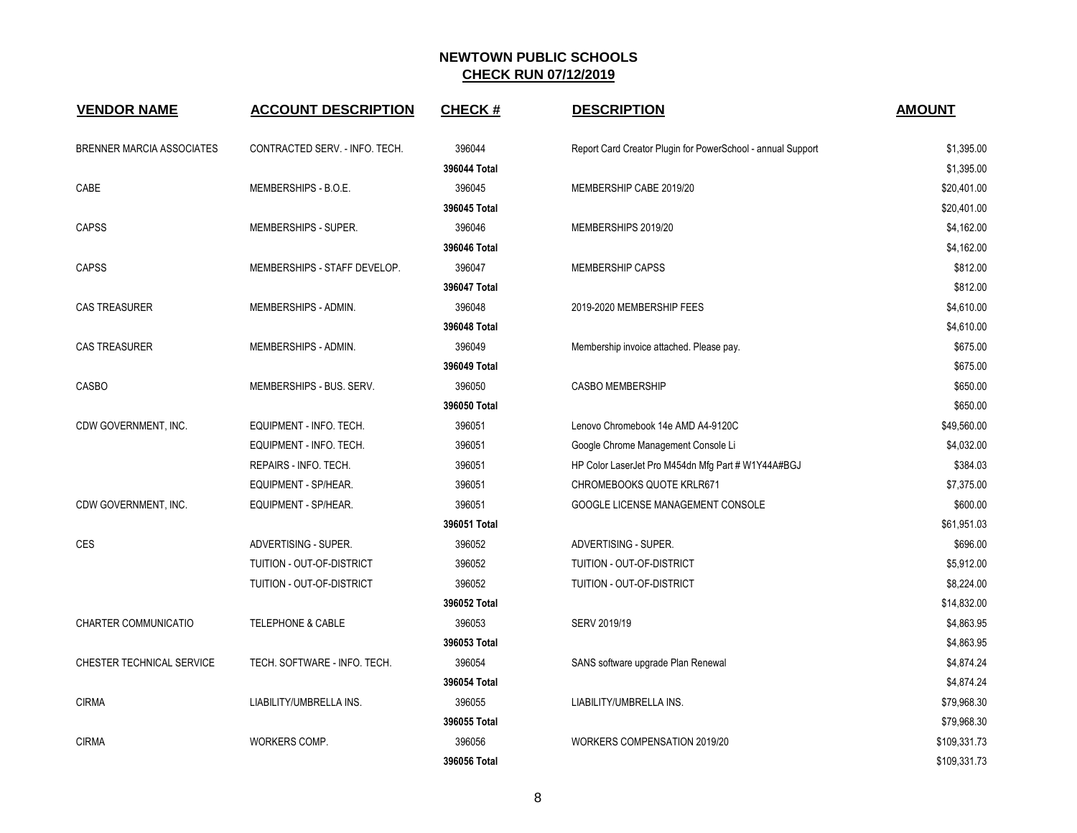| <b>VENDOR NAME</b>               | <b>ACCOUNT DESCRIPTION</b>     | <b>CHECK#</b> | <b>DESCRIPTION</b>                                          | <b>AMOUNT</b> |
|----------------------------------|--------------------------------|---------------|-------------------------------------------------------------|---------------|
| <b>BRENNER MARCIA ASSOCIATES</b> | CONTRACTED SERV. - INFO. TECH. | 396044        | Report Card Creator Plugin for PowerSchool - annual Support | \$1,395.00    |
|                                  |                                | 396044 Total  |                                                             | \$1,395.00    |
| CABE                             | MEMBERSHIPS - B.O.E.           | 396045        | MEMBERSHIP CABE 2019/20                                     | \$20,401.00   |
|                                  |                                | 396045 Total  |                                                             | \$20,401.00   |
| <b>CAPSS</b>                     | MEMBERSHIPS - SUPER.           | 396046        | MEMBERSHIPS 2019/20                                         | \$4,162.00    |
|                                  |                                | 396046 Total  |                                                             | \$4,162.00    |
| <b>CAPSS</b>                     | MEMBERSHIPS - STAFF DEVELOP.   | 396047        | <b>MEMBERSHIP CAPSS</b>                                     | \$812.00      |
|                                  |                                | 396047 Total  |                                                             | \$812.00      |
| <b>CAS TREASURER</b>             | MEMBERSHIPS - ADMIN.           | 396048        | 2019-2020 MEMBERSHIP FEES                                   | \$4,610.00    |
|                                  |                                | 396048 Total  |                                                             | \$4,610.00    |
| <b>CAS TREASURER</b>             | MEMBERSHIPS - ADMIN.           | 396049        | Membership invoice attached. Please pay.                    | \$675.00      |
|                                  |                                | 396049 Total  |                                                             | \$675.00      |
| CASBO                            | MEMBERSHIPS - BUS. SERV.       | 396050        | <b>CASBO MEMBERSHIP</b>                                     | \$650.00      |
|                                  |                                | 396050 Total  |                                                             | \$650.00      |
| CDW GOVERNMENT, INC.             | EQUIPMENT - INFO. TECH.        | 396051        | Lenovo Chromebook 14e AMD A4-9120C                          | \$49,560.00   |
|                                  | EQUIPMENT - INFO. TECH.        | 396051        | Google Chrome Management Console Li                         | \$4,032.00    |
|                                  | REPAIRS - INFO. TECH.          | 396051        | HP Color LaserJet Pro M454dn Mfg Part # W1Y44A#BGJ          | \$384.03      |
|                                  | EQUIPMENT - SP/HEAR.           | 396051        | <b>CHROMEBOOKS QUOTE KRLR671</b>                            | \$7,375.00    |
| CDW GOVERNMENT, INC.             | EQUIPMENT - SP/HEAR.           | 396051        | GOOGLE LICENSE MANAGEMENT CONSOLE                           | \$600.00      |
|                                  |                                | 396051 Total  |                                                             | \$61,951.03   |
| <b>CES</b>                       | ADVERTISING - SUPER.           | 396052        | ADVERTISING - SUPER.                                        | \$696.00      |
|                                  | TUITION - OUT-OF-DISTRICT      | 396052        | TUITION - OUT-OF-DISTRICT                                   | \$5,912.00    |
|                                  | TUITION - OUT-OF-DISTRICT      | 396052        | TUITION - OUT-OF-DISTRICT                                   | \$8,224.00    |
|                                  |                                | 396052 Total  |                                                             | \$14,832.00   |
| <b>CHARTER COMMUNICATIO</b>      | <b>TELEPHONE &amp; CABLE</b>   | 396053        | SERV 2019/19                                                | \$4,863.95    |
|                                  |                                | 396053 Total  |                                                             | \$4,863.95    |
| CHESTER TECHNICAL SERVICE        | TECH. SOFTWARE - INFO. TECH.   | 396054        | SANS software upgrade Plan Renewal                          | \$4,874.24    |
|                                  |                                | 396054 Total  |                                                             | \$4,874.24    |
| <b>CIRMA</b>                     | LIABILITY/UMBRELLA INS.        | 396055        | LIABILITY/UMBRELLA INS.                                     | \$79,968.30   |
|                                  |                                | 396055 Total  |                                                             | \$79,968.30   |
| <b>CIRMA</b>                     | WORKERS COMP.                  | 396056        | WORKERS COMPENSATION 2019/20                                | \$109,331.73  |
|                                  |                                | 396056 Total  |                                                             | \$109.331.73  |

| CONTRACTED SERV. - INFO. TECH. | 396044       | Report Card Creator Plugin for PowerSchool - annual Support | \$1,395.00   |
|--------------------------------|--------------|-------------------------------------------------------------|--------------|
|                                | 396044 Total |                                                             | \$1,395.00   |
| MEMBERSHIPS - B.O.E.           | 396045       | MEMBERSHIP CABE 2019/20                                     | \$20,401.00  |
|                                | 396045 Total |                                                             | \$20,401.00  |
| MEMBERSHIPS - SUPER.           | 396046       | MEMBERSHIPS 2019/20                                         | \$4,162.00   |
|                                | 396046 Total |                                                             | \$4,162.00   |
| MEMBERSHIPS - STAFF DEVELOP.   | 396047       | <b>MEMBERSHIP CAPSS</b>                                     | \$812.00     |
|                                | 396047 Total |                                                             | \$812.00     |
| MEMBERSHIPS - ADMIN.           | 396048       | 2019-2020 MEMBERSHIP FEES                                   | \$4,610.00   |
|                                | 396048 Total |                                                             | \$4,610.00   |
| MEMBERSHIPS - ADMIN.           | 396049       | Membership invoice attached. Please pay.                    | \$675.00     |
|                                | 396049 Total |                                                             | \$675.00     |
| MEMBERSHIPS - BUS. SERV.       | 396050       | <b>CASBO MEMBERSHIP</b>                                     | \$650.00     |
|                                | 396050 Total |                                                             | \$650.00     |
| EQUIPMENT - INFO. TECH.        | 396051       | Lenovo Chromebook 14e AMD A4-9120C                          | \$49,560.00  |
| EQUIPMENT - INFO. TECH.        | 396051       | Google Chrome Management Console Li                         | \$4,032.00   |
| REPAIRS - INFO. TECH.          | 396051       | HP Color LaserJet Pro M454dn Mfg Part # W1Y44A#BGJ          | \$384.03     |
| EQUIPMENT - SP/HEAR.           | 396051       | <b>CHROMEBOOKS QUOTE KRLR671</b>                            | \$7,375.00   |
| EQUIPMENT - SP/HEAR.           | 396051       | GOOGLE LICENSE MANAGEMENT CONSOLE                           | \$600.00     |
|                                | 396051 Total |                                                             | \$61,951.03  |
| ADVERTISING - SUPER.           | 396052       | ADVERTISING - SUPER.                                        | \$696.00     |
| TUITION - OUT-OF-DISTRICT      | 396052       | TUITION - OUT-OF-DISTRICT                                   | \$5,912.00   |
| TUITION - OUT-OF-DISTRICT      | 396052       | TUITION - OUT-OF-DISTRICT                                   | \$8,224.00   |
|                                | 396052 Total |                                                             | \$14,832.00  |
| <b>TELEPHONE &amp; CABLE</b>   | 396053       | SERV 2019/19                                                | \$4,863.95   |
|                                | 396053 Total |                                                             | \$4,863.95   |
| TECH. SOFTWARE - INFO. TECH.   | 396054       | SANS software upgrade Plan Renewal                          | \$4,874.24   |
|                                | 396054 Total |                                                             | \$4,874.24   |
| LIABILITY/UMBRELLA INS.        | 396055       | LIABILITY/UMBRELLA INS.                                     | \$79,968.30  |
|                                | 396055 Total |                                                             | \$79,968.30  |
| WORKERS COMP.                  | 396056       | <b>WORKERS COMPENSATION 2019/20</b>                         | \$109,331.73 |
|                                | 396056 Total |                                                             | \$109,331.73 |

**DESCRIPTION AMOUNT**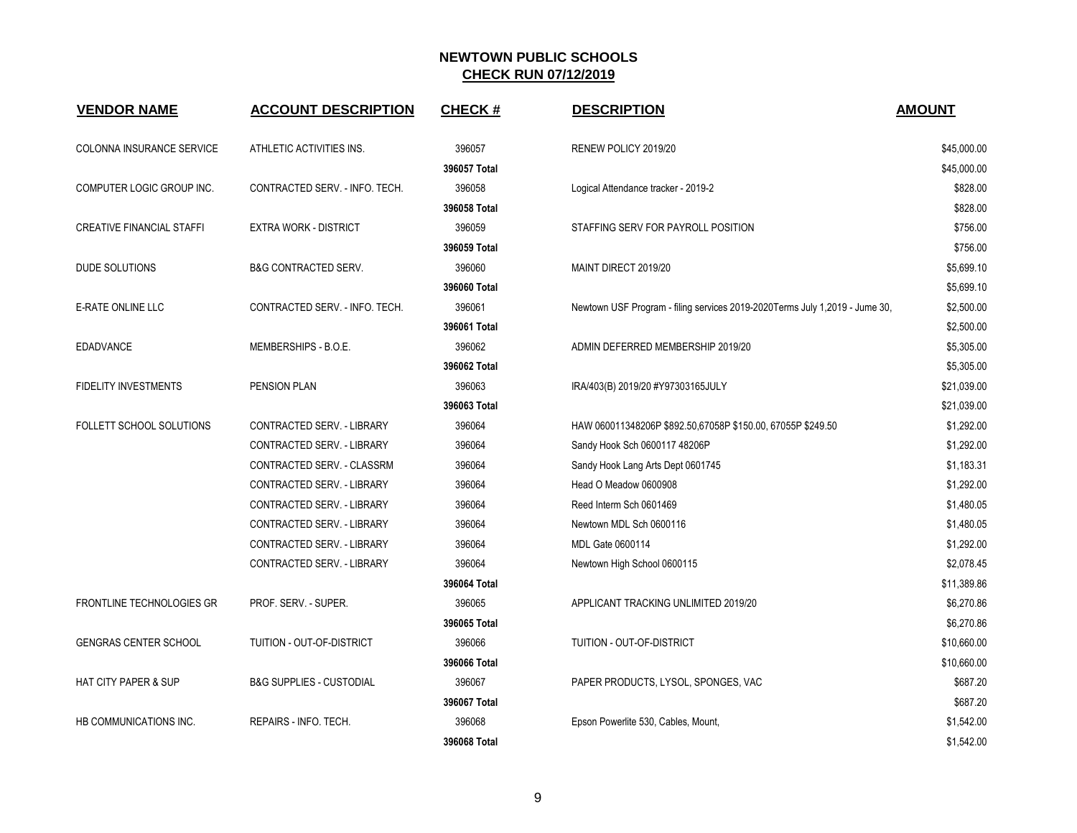| <b>VENDOR NAME</b>               | <b>ACCOUNT DESCRIPTION</b>          | <b>CHECK#</b> | <b>DESCRIPTION</b>                                                          | <b>AMOUNT</b> |
|----------------------------------|-------------------------------------|---------------|-----------------------------------------------------------------------------|---------------|
| COLONNA INSURANCE SERVICE        | ATHLETIC ACTIVITIES INS.            | 396057        | RENEW POLICY 2019/20                                                        | \$45,000.00   |
|                                  |                                     | 396057 Total  |                                                                             | \$45,000.00   |
| COMPUTER LOGIC GROUP INC.        | CONTRACTED SERV. - INFO. TECH.      | 396058        | Logical Attendance tracker - 2019-2                                         | \$828.00      |
|                                  |                                     | 396058 Total  |                                                                             | \$828.00      |
| <b>CREATIVE FINANCIAL STAFFI</b> | <b>EXTRA WORK - DISTRICT</b>        | 396059        | STAFFING SERV FOR PAYROLL POSITION                                          | \$756.00      |
|                                  |                                     | 396059 Total  |                                                                             | \$756.00      |
| DUDE SOLUTIONS                   | <b>B&amp;G CONTRACTED SERV.</b>     | 396060        | MAINT DIRECT 2019/20                                                        | \$5,699.10    |
|                                  |                                     | 396060 Total  |                                                                             | \$5,699.10    |
| E-RATE ONLINE LLC                | CONTRACTED SERV. - INFO. TECH.      | 396061        | Newtown USF Program - filing services 2019-2020Terms July 1,2019 - Jume 30, | \$2,500.00    |
|                                  |                                     | 396061 Total  |                                                                             | \$2,500.00    |
| <b>EDADVANCE</b>                 | MEMBERSHIPS - B.O.E.                | 396062        | ADMIN DEFERRED MEMBERSHIP 2019/20                                           | \$5,305.00    |
|                                  |                                     | 396062 Total  |                                                                             | \$5,305.00    |
| <b>FIDELITY INVESTMENTS</b>      | PENSION PLAN                        | 396063        | IRA/403(B) 2019/20 #Y97303165JULY                                           | \$21,039.00   |
|                                  |                                     | 396063 Total  |                                                                             | \$21,039.00   |
| FOLLETT SCHOOL SOLUTIONS         | CONTRACTED SERV. - LIBRARY          | 396064        | HAW 060011348206P \$892.50,67058P \$150.00, 67055P \$249.50                 | \$1,292.00    |
|                                  | CONTRACTED SERV. - LIBRARY          | 396064        | Sandy Hook Sch 0600117 48206P                                               | \$1,292.00    |
|                                  | CONTRACTED SERV. - CLASSRM          | 396064        | Sandy Hook Lang Arts Dept 0601745                                           | \$1,183.31    |
|                                  | CONTRACTED SERV. - LIBRARY          | 396064        | Head O Meadow 0600908                                                       | \$1,292.00    |
|                                  | CONTRACTED SERV. - LIBRARY          | 396064        | Reed Interm Sch 0601469                                                     | \$1,480.05    |
|                                  | CONTRACTED SERV. - LIBRARY          | 396064        | Newtown MDL Sch 0600116                                                     | \$1,480.05    |
|                                  | CONTRACTED SERV. - LIBRARY          | 396064        | MDL Gate 0600114                                                            | \$1,292.00    |
|                                  | CONTRACTED SERV. - LIBRARY          | 396064        | Newtown High School 0600115                                                 | \$2,078.45    |
|                                  |                                     | 396064 Total  |                                                                             | \$11,389.86   |
| FRONTLINE TECHNOLOGIES GR        | PROF. SERV. - SUPER.                | 396065        | APPLICANT TRACKING UNLIMITED 2019/20                                        | \$6,270.86    |
|                                  |                                     | 396065 Total  |                                                                             | \$6,270.86    |
| <b>GENGRAS CENTER SCHOOL</b>     | TUITION - OUT-OF-DISTRICT           | 396066        | TUITION - OUT-OF-DISTRICT                                                   | \$10,660.00   |
|                                  |                                     | 396066 Total  |                                                                             | \$10,660.00   |
| <b>HAT CITY PAPER &amp; SUP</b>  | <b>B&amp;G SUPPLIES - CUSTODIAL</b> | 396067        | PAPER PRODUCTS, LYSOL, SPONGES, VAC                                         | \$687.20      |
|                                  |                                     | 396067 Total  |                                                                             | \$687.20      |
| HB COMMUNICATIONS INC.           | REPAIRS - INFO. TECH.               | 396068        | Epson Powerlite 530, Cables, Mount,                                         | \$1,542.00    |
|                                  |                                     | 396068 Total  |                                                                             | \$1,542.00    |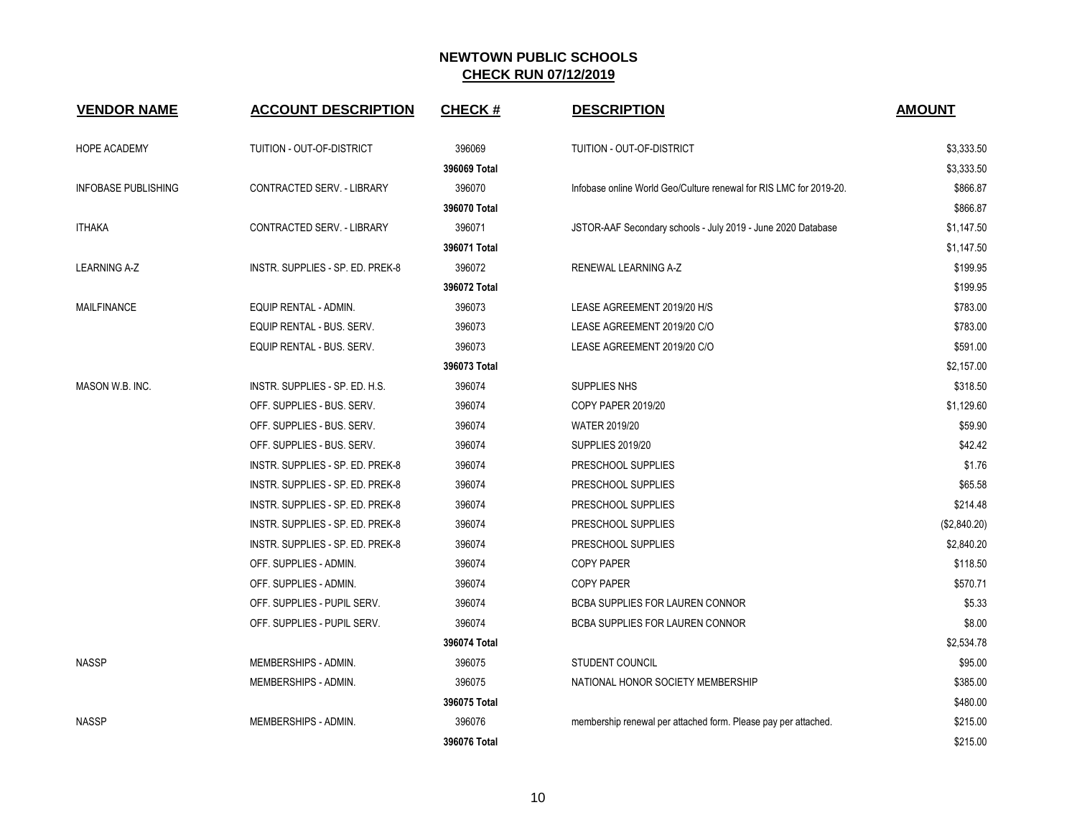| <b>VENDOR NAME</b>         | <b>ACCOUNT DESCRIPTION</b>       | <b>CHECK#</b> | <b>DESCRIPTION</b>                                                 | <b>AMOUNT</b> |
|----------------------------|----------------------------------|---------------|--------------------------------------------------------------------|---------------|
| HOPE ACADEMY               | TUITION - OUT-OF-DISTRICT        | 396069        | TUITION - OUT-OF-DISTRICT                                          | \$3,333.50    |
|                            |                                  | 396069 Total  |                                                                    | \$3,333.50    |
| <b>INFOBASE PUBLISHING</b> | CONTRACTED SERV. - LIBRARY       | 396070        | Infobase online World Geo/Culture renewal for RIS LMC for 2019-20. | \$866.87      |
|                            |                                  | 396070 Total  |                                                                    | \$866.87      |
| <b>ITHAKA</b>              | CONTRACTED SERV. - LIBRARY       | 396071        | JSTOR-AAF Secondary schools - July 2019 - June 2020 Database       | \$1,147.50    |
|                            |                                  | 396071 Total  |                                                                    | \$1,147.50    |
| <b>LEARNING A-Z</b>        | INSTR. SUPPLIES - SP. ED. PREK-8 | 396072        | RENEWAL LEARNING A-Z                                               | \$199.95      |
|                            |                                  | 396072 Total  |                                                                    | \$199.95      |
| <b>MAILFINANCE</b>         | EQUIP RENTAL - ADMIN.            | 396073        | LEASE AGREEMENT 2019/20 H/S                                        | \$783.00      |
|                            | EQUIP RENTAL - BUS. SERV.        | 396073        | LEASE AGREEMENT 2019/20 C/O                                        | \$783.00      |
|                            | EQUIP RENTAL - BUS. SERV.        | 396073        | LEASE AGREEMENT 2019/20 C/O                                        | \$591.00      |
|                            |                                  | 396073 Total  |                                                                    | \$2,157.00    |
| MASON W.B. INC.            | INSTR. SUPPLIES - SP. ED. H.S.   | 396074        | SUPPLIES NHS                                                       | \$318.50      |
|                            | OFF. SUPPLIES - BUS. SERV.       | 396074        | COPY PAPER 2019/20                                                 | \$1,129.60    |
|                            | OFF. SUPPLIES - BUS. SERV.       | 396074        | <b>WATER 2019/20</b>                                               | \$59.90       |
|                            | OFF. SUPPLIES - BUS. SERV.       | 396074        | <b>SUPPLIES 2019/20</b>                                            | \$42.42       |
|                            | INSTR. SUPPLIES - SP. ED. PREK-8 | 396074        | PRESCHOOL SUPPLIES                                                 | \$1.76        |
|                            | INSTR. SUPPLIES - SP. ED. PREK-8 | 396074        | PRESCHOOL SUPPLIES                                                 | \$65.58       |
|                            | INSTR. SUPPLIES - SP. ED. PREK-8 | 396074        | PRESCHOOL SUPPLIES                                                 | \$214.48      |
|                            | INSTR. SUPPLIES - SP. ED. PREK-8 | 396074        | PRESCHOOL SUPPLIES                                                 | (\$2,840.20)  |
|                            | INSTR. SUPPLIES - SP. ED. PREK-8 | 396074        | PRESCHOOL SUPPLIES                                                 | \$2,840.20    |
|                            | OFF. SUPPLIES - ADMIN.           | 396074        | <b>COPY PAPER</b>                                                  | \$118.50      |
|                            | OFF. SUPPLIES - ADMIN.           | 396074        | <b>COPY PAPER</b>                                                  | \$570.71      |
|                            | OFF. SUPPLIES - PUPIL SERV.      | 396074        | <b>BCBA SUPPLIES FOR LAUREN CONNOR</b>                             | \$5.33        |
|                            | OFF. SUPPLIES - PUPIL SERV.      | 396074        | BCBA SUPPLIES FOR LAUREN CONNOR                                    | \$8.00        |
|                            |                                  | 396074 Total  |                                                                    | \$2,534.78    |
| <b>NASSP</b>               | MEMBERSHIPS - ADMIN.             | 396075        | <b>STUDENT COUNCIL</b>                                             | \$95.00       |
|                            | MEMBERSHIPS - ADMIN.             | 396075        | NATIONAL HONOR SOCIETY MEMBERSHIP                                  | \$385.00      |
|                            |                                  | 396075 Total  |                                                                    | \$480.00      |
| <b>NASSP</b>               | MEMBERSHIPS - ADMIN.             | 396076        | membership renewal per attached form. Please pay per attached.     | \$215.00      |
|                            |                                  | 396076 Total  |                                                                    | \$215.00      |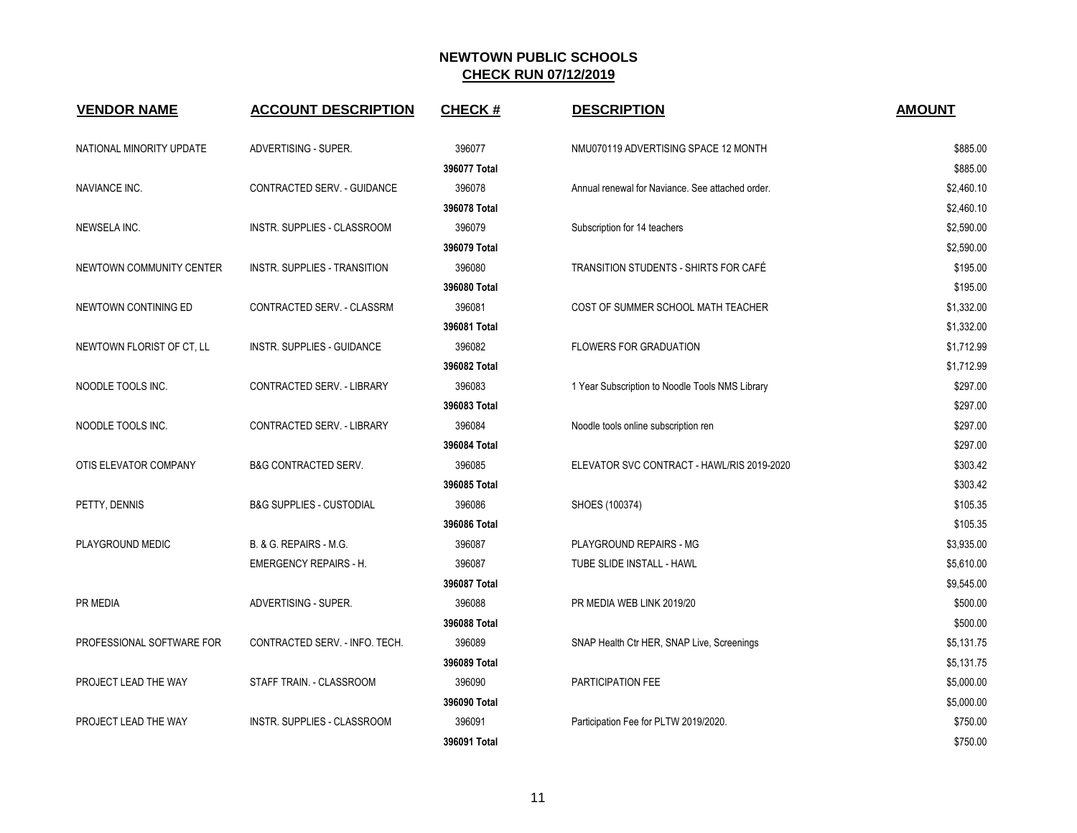| <b>VENDOR NAME</b>        | <b>ACCOUNT DESCRIPTION</b>          | <b>CHECK#</b> | <b>DESCRIPTION</b>                               | <b>AMOUNT</b> |
|---------------------------|-------------------------------------|---------------|--------------------------------------------------|---------------|
| NATIONAL MINORITY UPDATE  | ADVERTISING - SUPER.                | 396077        | NMU070119 ADVERTISING SPACE 12 MONTH             | \$885.00      |
|                           |                                     | 396077 Total  |                                                  | \$885.00      |
| <b>NAVIANCE INC.</b>      | CONTRACTED SERV. - GUIDANCE         | 396078        | Annual renewal for Naviance. See attached order. | \$2,460.10    |
|                           |                                     | 396078 Total  |                                                  | \$2,460.10    |
| NEWSELA INC.              | INSTR. SUPPLIES - CLASSROOM         | 396079        | Subscription for 14 teachers                     | \$2,590.00    |
|                           |                                     | 396079 Total  |                                                  | \$2,590.00    |
| NEWTOWN COMMUNITY CENTER  | <b>INSTR. SUPPLIES - TRANSITION</b> | 396080        | TRANSITION STUDENTS - SHIRTS FOR CAFÉ            | \$195.00      |
|                           |                                     | 396080 Total  |                                                  | \$195.00      |
| NEWTOWN CONTINING ED      | CONTRACTED SERV. - CLASSRM          | 396081        | COST OF SUMMER SCHOOL MATH TEACHER               | \$1,332.00    |
|                           |                                     | 396081 Total  |                                                  | \$1,332.00    |
| NEWTOWN FLORIST OF CT, LL | <b>INSTR. SUPPLIES - GUIDANCE</b>   | 396082        | <b>FLOWERS FOR GRADUATION</b>                    | \$1,712.99    |
|                           |                                     | 396082 Total  |                                                  | \$1,712.99    |
| NOODLE TOOLS INC.         | CONTRACTED SERV. - LIBRARY          | 396083        | 1 Year Subscription to Noodle Tools NMS Library  | \$297.00      |
|                           |                                     | 396083 Total  |                                                  | \$297.00      |
| NOODLE TOOLS INC.         | CONTRACTED SERV. - LIBRARY          | 396084        | Noodle tools online subscription ren             | \$297.00      |
|                           |                                     | 396084 Total  |                                                  | \$297.00      |
| OTIS ELEVATOR COMPANY     | <b>B&amp;G CONTRACTED SERV.</b>     | 396085        | ELEVATOR SVC CONTRACT - HAWL/RIS 2019-2020       | \$303.42      |
|                           |                                     | 396085 Total  |                                                  | \$303.42      |
| PETTY, DENNIS             | <b>B&amp;G SUPPLIES - CUSTODIAL</b> | 396086        | SHOES (100374)                                   | \$105.35      |
|                           |                                     | 396086 Total  |                                                  | \$105.35      |
| PLAYGROUND MEDIC          | B. & G. REPAIRS - M.G.              | 396087        | PLAYGROUND REPAIRS - MG                          | \$3,935.00    |
|                           | <b>EMERGENCY REPAIRS - H.</b>       | 396087        | TUBE SLIDE INSTALL - HAWL                        | \$5,610.00    |
|                           |                                     | 396087 Total  |                                                  | \$9,545.00    |
| PR MEDIA                  | ADVERTISING - SUPER.                | 396088        | PR MEDIA WEB LINK 2019/20                        | \$500.00      |
|                           |                                     | 396088 Total  |                                                  | \$500.00      |
| PROFESSIONAL SOFTWARE FOR | CONTRACTED SERV. - INFO. TECH.      | 396089        | SNAP Health Ctr HER, SNAP Live, Screenings       | \$5,131.75    |
|                           |                                     | 396089 Total  |                                                  | \$5,131.75    |
| PROJECT LEAD THE WAY      | STAFF TRAIN. - CLASSROOM            | 396090        | PARTICIPATION FEE                                | \$5,000.00    |
|                           |                                     | 396090 Total  |                                                  | \$5,000.00    |
| PROJECT LEAD THE WAY      | INSTR. SUPPLIES - CLASSROOM         | 396091        | Participation Fee for PLTW 2019/2020.            | \$750.00      |
|                           |                                     | 396091 Total  |                                                  | \$750.00      |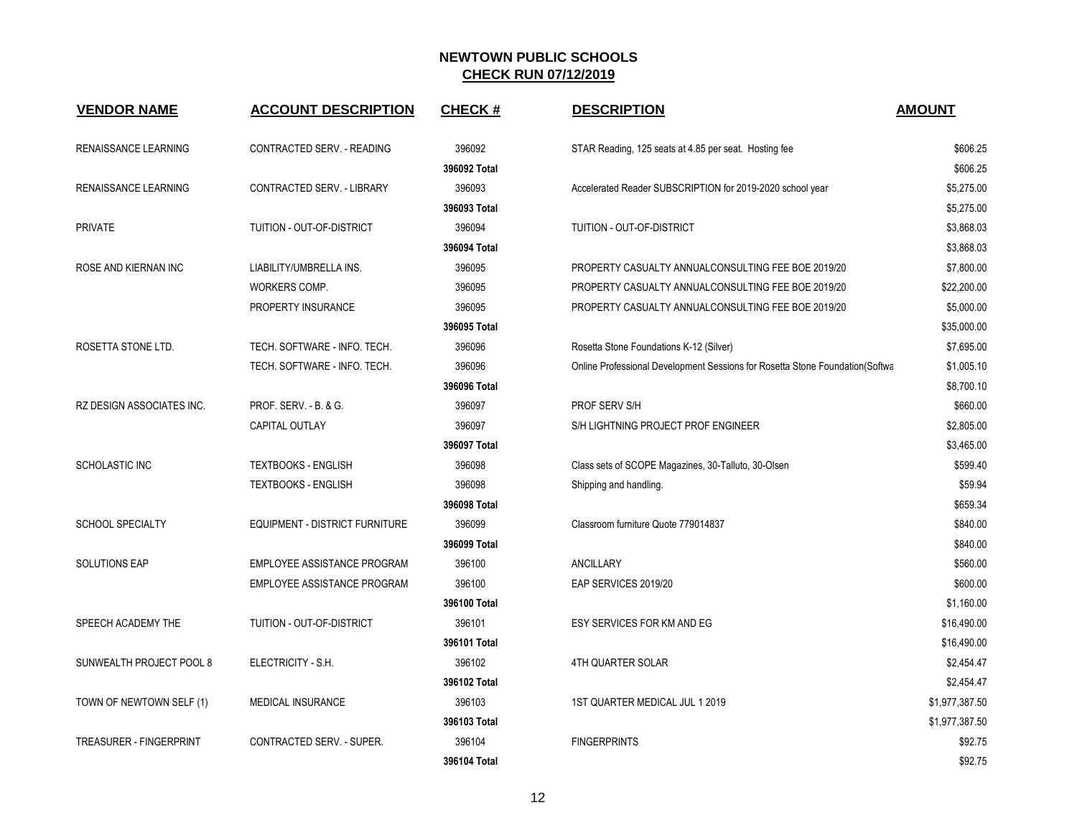| <b>VENDOR NAME</b>               | <b>ACCOUNT DESCRIPTION</b>            | <b>CHECK#</b> | <b>DESCRIPTION</b>                                                            | <b>AMOUNT</b>  |
|----------------------------------|---------------------------------------|---------------|-------------------------------------------------------------------------------|----------------|
| RENAISSANCE LEARNING             | CONTRACTED SERV. - READING            | 396092        | STAR Reading, 125 seats at 4.85 per seat. Hosting fee                         | \$606.25       |
|                                  |                                       | 396092 Total  |                                                                               | \$606.25       |
| RENAISSANCE LEARNING             | CONTRACTED SERV. - LIBRARY            | 396093        | Accelerated Reader SUBSCRIPTION for 2019-2020 school year                     | \$5,275.00     |
|                                  |                                       | 396093 Total  |                                                                               | \$5,275.00     |
| <b>PRIVATE</b>                   | <b>TUITION - OUT-OF-DISTRICT</b>      | 396094        | <b>TUITION - OUT-OF-DISTRICT</b>                                              | \$3,868.03     |
|                                  |                                       | 396094 Total  |                                                                               | \$3,868.03     |
| ROSE AND KIERNAN INC             | LIABILITY/UMBRELLA INS.               | 396095        | PROPERTY CASUALTY ANNUALCONSULTING FEE BOE 2019/20                            | \$7,800.00     |
|                                  | WORKERS COMP.                         | 396095        | PROPERTY CASUALTY ANNUALCONSULTING FEE BOE 2019/20                            | \$22,200.00    |
|                                  | PROPERTY INSURANCE                    | 396095        | PROPERTY CASUALTY ANNUALCONSULTING FEE BOE 2019/20                            | \$5,000.00     |
|                                  |                                       | 396095 Total  |                                                                               | \$35,000.00    |
| ROSETTA STONE LTD.               | TECH. SOFTWARE - INFO. TECH.          | 396096        | Rosetta Stone Foundations K-12 (Silver)                                       | \$7,695.00     |
|                                  | TECH. SOFTWARE - INFO. TECH.          | 396096        | Online Professional Development Sessions for Rosetta Stone Foundation (Softwa | \$1,005.10     |
|                                  |                                       | 396096 Total  |                                                                               | \$8,700.10     |
| <b>RZ DESIGN ASSOCIATES INC.</b> | <b>PROF. SERV. - B. &amp; G.</b>      | 396097        | PROF SERV S/H                                                                 | \$660.00       |
|                                  | <b>CAPITAL OUTLAY</b>                 | 396097        | S/H LIGHTNING PROJECT PROF ENGINEER                                           | \$2.805.00     |
|                                  |                                       | 396097 Total  |                                                                               | \$3,465.00     |
| SCHOLASTIC INC                   | <b>TEXTBOOKS - ENGLISH</b>            | 396098        | Class sets of SCOPE Magazines, 30-Talluto, 30-Olsen                           | \$599.40       |
|                                  | <b>TEXTBOOKS - ENGLISH</b>            | 396098        | Shipping and handling.                                                        | \$59.94        |
|                                  |                                       | 396098 Total  |                                                                               | \$659.34       |
| <b>SCHOOL SPECIALTY</b>          | <b>EQUIPMENT - DISTRICT FURNITURE</b> | 396099        | Classroom furniture Quote 779014837                                           | \$840.00       |
|                                  |                                       | 396099 Total  |                                                                               | \$840.00       |
| <b>SOLUTIONS EAP</b>             | EMPLOYEE ASSISTANCE PROGRAM           | 396100        | <b>ANCILLARY</b>                                                              | \$560.00       |
|                                  | EMPLOYEE ASSISTANCE PROGRAM           | 396100        | EAP SERVICES 2019/20                                                          | \$600.00       |
|                                  |                                       | 396100 Total  |                                                                               | \$1,160.00     |
| SPEECH ACADEMY THE               | TUITION - OUT-OF-DISTRICT             | 396101        | ESY SERVICES FOR KM AND EG                                                    | \$16,490.00    |
|                                  |                                       | 396101 Total  |                                                                               | \$16,490.00    |
| SUNWEALTH PROJECT POOL 8         | ELECTRICITY - S.H.                    | 396102        | <b>4TH QUARTER SOLAR</b>                                                      | \$2,454.47     |
|                                  |                                       | 396102 Total  |                                                                               | \$2,454.47     |
| TOWN OF NEWTOWN SELF (1)         | MEDICAL INSURANCE                     | 396103        | 1ST QUARTER MEDICAL JUL 1 2019                                                | \$1,977,387.50 |
|                                  |                                       | 396103 Total  |                                                                               | \$1,977,387.50 |
| <b>TREASURER - FINGERPRINT</b>   | <b>CONTRACTED SERV. - SUPER.</b>      | 396104        | <b>FINGERPRINTS</b>                                                           | \$92.75        |
|                                  |                                       | 396104 Total  |                                                                               | \$92.75        |